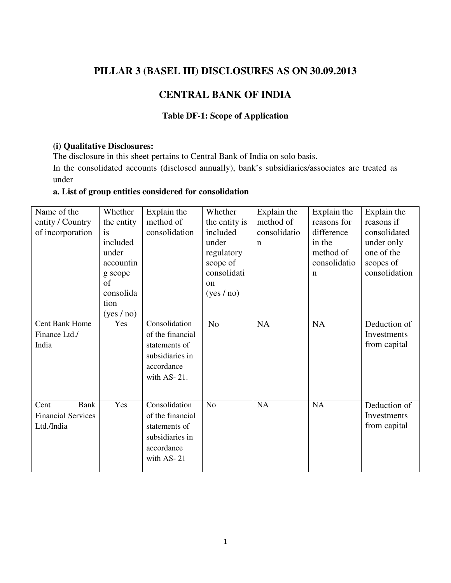## **PILLAR 3 (BASEL III) DISCLOSURES AS ON 30.09.2013**

# **CENTRAL BANK OF INDIA**

#### **Table DF-1: Scope of Application**

#### **(i) Qualitative Disclosures:**

The disclosure in this sheet pertains to Central Bank of India on solo basis.

In the consolidated accounts (disclosed annually), bank's subsidiaries/associates are treated as under

## **a. List of group entities considered for consolidation**

| Name of the               | Whether    | Explain the      | Whether        | Explain the  | Explain the  | Explain the   |
|---------------------------|------------|------------------|----------------|--------------|--------------|---------------|
| entity / Country          | the entity | method of        | the entity is  | method of    | reasons for  | reasons if    |
| of incorporation          | <i>is</i>  | consolidation    | included       | consolidatio | difference   | consolidated  |
|                           | included   |                  | under          | $\mathbf n$  | in the       | under only    |
|                           | under      |                  | regulatory     |              | method of    | one of the    |
|                           | accountin  |                  | scope of       |              | consolidatio | scopes of     |
|                           | g scope    |                  | consolidati    |              | $\mathbf n$  | consolidation |
|                           | of         |                  | on             |              |              |               |
|                           | consolida  |                  | (yes / no)     |              |              |               |
|                           | tion       |                  |                |              |              |               |
|                           | (yes / no) |                  |                |              |              |               |
| <b>Cent Bank Home</b>     | Yes        | Consolidation    | N <sub>o</sub> | <b>NA</b>    | <b>NA</b>    | Deduction of  |
| Finance Ltd./             |            | of the financial |                |              |              | Investments   |
| India                     |            | statements of    |                |              |              | from capital  |
|                           |            | subsidiaries in  |                |              |              |               |
|                           |            | accordance       |                |              |              |               |
|                           |            | with AS-21.      |                |              |              |               |
|                           |            |                  |                |              |              |               |
|                           |            |                  |                |              |              |               |
| <b>Bank</b><br>Cent       | Yes        | Consolidation    | N <sub>o</sub> | NA           | NA           | Deduction of  |
| <b>Financial Services</b> |            | of the financial |                |              |              | Investments   |
| Ltd./India                |            | statements of    |                |              |              | from capital  |
|                           |            | subsidiaries in  |                |              |              |               |
|                           |            | accordance       |                |              |              |               |
|                           |            | with AS-21       |                |              |              |               |
|                           |            |                  |                |              |              |               |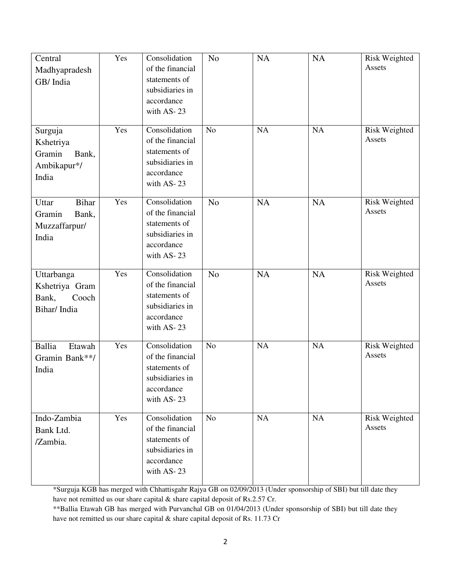| Central<br>Madhyapradesh<br>GB/ India<br>Surguja<br>Kshetriya<br>Gramin<br>Bank,<br>Ambikapur*/<br>India                                                                                                                                                                                                                                                                                                             | Yes<br>Yes | Consolidation<br>of the financial<br>statements of<br>subsidiaries in<br>accordance<br>with AS-23<br>Consolidation<br>of the financial<br>statements of<br>subsidiaries in<br>accordance<br>with AS-23 | N <sub>0</sub><br>N <sub>o</sub> | <b>NA</b><br>NA | <b>NA</b><br>NA | Risk Weighted<br>Assets<br><b>Risk Weighted</b><br>Assets |
|----------------------------------------------------------------------------------------------------------------------------------------------------------------------------------------------------------------------------------------------------------------------------------------------------------------------------------------------------------------------------------------------------------------------|------------|--------------------------------------------------------------------------------------------------------------------------------------------------------------------------------------------------------|----------------------------------|-----------------|-----------------|-----------------------------------------------------------|
| <b>Bihar</b><br>Uttar<br>Gramin<br>Bank,<br>Muzzaffarpur/<br>India                                                                                                                                                                                                                                                                                                                                                   | Yes        | Consolidation<br>of the financial<br>statements of<br>subsidiaries in<br>accordance<br>with AS-23                                                                                                      | N <sub>o</sub>                   | NA              | <b>NA</b>       | Risk Weighted<br>Assets                                   |
| Uttarbanga<br>Kshetriya Gram<br>Cooch<br>Bank,<br>Bihar/India                                                                                                                                                                                                                                                                                                                                                        | Yes        | Consolidation<br>of the financial<br>statements of<br>subsidiaries in<br>accordance<br>with AS-23                                                                                                      | No                               | <b>NA</b>       | <b>NA</b>       | Risk Weighted<br>Assets                                   |
| <b>Ballia</b><br>Etawah<br>Gramin Bank**/<br>India                                                                                                                                                                                                                                                                                                                                                                   | Yes        | Consolidation<br>of the financial<br>statements of<br>subsidiaries in<br>accordance<br>with AS-23                                                                                                      | N <sub>o</sub>                   | <b>NA</b>       | <b>NA</b>       | Risk Weighted<br>Assets                                   |
| Indo-Zambia<br>Bank Ltd.<br>/Zambia.                                                                                                                                                                                                                                                                                                                                                                                 | Yes        | Consolidation<br>of the financial<br>statements of<br>subsidiaries in<br>accordance<br>with AS-23                                                                                                      | N <sub>o</sub>                   | <b>NA</b>       | <b>NA</b>       | Risk Weighted<br>Assets                                   |
| *Surguja KGB has merged with Chhattisgahr Rajya GB on 02/09/2013 (Under sponsorship of SBI) but till date they<br>have not remitted us our share capital & share capital deposit of Rs.2.57 Cr.<br>** Ballia Etawah GB has merged with Purvanchal GB on 01/04/2013 (Under sponsorship of SBI) but till date they<br>have not remitted us our share capital & share capital deposit of Rs. 11.73 Cr<br>$\overline{2}$ |            |                                                                                                                                                                                                        |                                  |                 |                 |                                                           |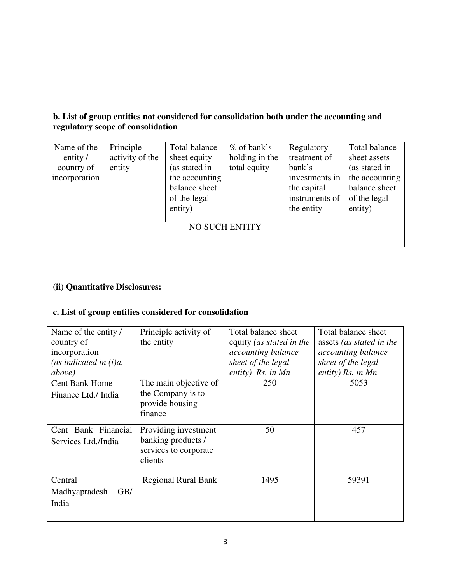## **b. List of group entities not considered for consolidation both under the accounting and regulatory scope of consolidation**

| Name of the          | Principle       | Total balance  | $%$ of bank's         | Regulatory     | Total balance  |
|----------------------|-----------------|----------------|-----------------------|----------------|----------------|
| entity $\frac{1}{2}$ | activity of the | sheet equity   | holding in the        | treatment of   | sheet assets   |
| country of           | entity          | (as stated in  | total equity          | bank's         | (as stated in  |
| incorporation        |                 | the accounting |                       | investments in | the accounting |
|                      |                 | balance sheet  |                       | the capital    | balance sheet  |
|                      |                 | of the legal   |                       | instruments of | of the legal   |
|                      |                 | entity)        |                       | the entity     | entity)        |
|                      |                 |                |                       |                |                |
|                      |                 |                | <b>NO SUCH ENTITY</b> |                |                |
|                      |                 |                |                       |                |                |
|                      |                 |                |                       |                |                |

## **(ii) Quantitative Disclosures:**

## **c. List of group entities considered for consolidation**

| Name of the entity /      | Principle activity of      | Total balance sheet      | Total balance sheet       |
|---------------------------|----------------------------|--------------------------|---------------------------|
| country of                | the entity                 | equity (as stated in the | assets (as stated in the  |
| incorporation             |                            | accounting balance       | <i>accounting balance</i> |
| (as indicated in $(i)a$ . |                            | sheet of the legal       | sheet of the legal        |
| <i>above</i> )            |                            | entity) $Rs.$ in Mn      | entity) $Rs.$ in $Mn$     |
| <b>Cent Bank Home</b>     | The main objective of      | 250                      | 5053                      |
| Finance Ltd./ India       | the Company is to          |                          |                           |
|                           | provide housing            |                          |                           |
|                           | finance                    |                          |                           |
| Cent Bank Financial       | Providing investment       | 50                       | 457                       |
|                           | banking products /         |                          |                           |
| Services Ltd./India       | services to corporate      |                          |                           |
|                           | clients                    |                          |                           |
|                           |                            |                          |                           |
| Central                   | <b>Regional Rural Bank</b> | 1495                     | 59391                     |
| GB/<br>Madhyapradesh      |                            |                          |                           |
| India                     |                            |                          |                           |
|                           |                            |                          |                           |
|                           |                            |                          |                           |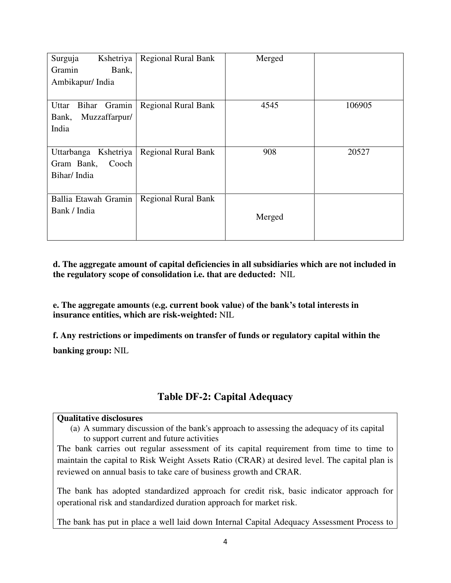| Surguja<br>Kshetriya     | <b>Regional Rural Bank</b> | Merged |        |
|--------------------------|----------------------------|--------|--------|
| Gramin<br>Bank,          |                            |        |        |
| Ambikapur/India          |                            |        |        |
|                          |                            |        |        |
| Gramin<br>Uttar<br>Bihar | <b>Regional Rural Bank</b> | 4545   | 106905 |
| Muzzaffarpur/<br>Bank,   |                            |        |        |
| India                    |                            |        |        |
|                          |                            |        |        |
| Uttarbanga Kshetriya     | <b>Regional Rural Bank</b> | 908    | 20527  |
| Gram Bank,<br>Cooch      |                            |        |        |
| Bihar/India              |                            |        |        |
|                          |                            |        |        |
| Ballia Etawah Gramin     | <b>Regional Rural Bank</b> |        |        |
| Bank / India             |                            |        |        |
|                          |                            | Merged |        |
|                          |                            |        |        |

**d. The aggregate amount of capital deficiencies in all subsidiaries which are not included in the regulatory scope of consolidation i.e. that are deducted:** NIL

**e. The aggregate amounts (e.g. current book value) of the bank's total interests in insurance entities, which are risk-weighted:** NIL

**f. Any restrictions or impediments on transfer of funds or regulatory capital within the banking group:** NIL

## **Table DF-2: Capital Adequacy**

#### **Qualitative disclosures**

(a) A summary discussion of the bank's approach to assessing the adequacy of its capital to support current and future activities

The bank carries out regular assessment of its capital requirement from time to time to maintain the capital to Risk Weight Assets Ratio (CRAR) at desired level. The capital plan is reviewed on annual basis to take care of business growth and CRAR.

The bank has adopted standardized approach for credit risk, basic indicator approach for operational risk and standardized duration approach for market risk.

The bank has put in place a well laid down Internal Capital Adequacy Assessment Process to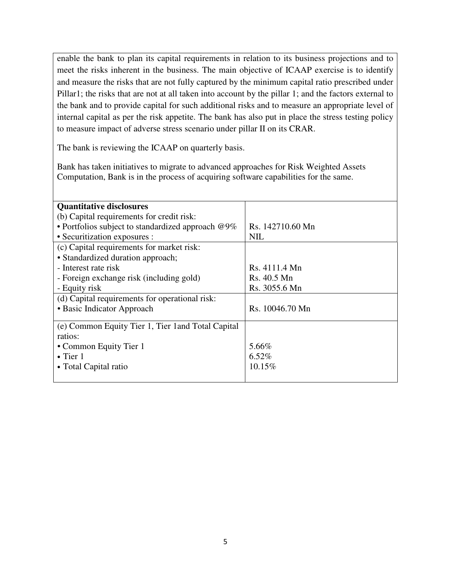enable the bank to plan its capital requirements in relation to its business projections and to meet the risks inherent in the business. The main objective of ICAAP exercise is to identify and measure the risks that are not fully captured by the minimum capital ratio prescribed under Pillar1; the risks that are not at all taken into account by the pillar 1; and the factors external to the bank and to provide capital for such additional risks and to measure an appropriate level of internal capital as per the risk appetite. The bank has also put in place the stress testing policy to measure impact of adverse stress scenario under pillar II on its CRAR.

The bank is reviewing the ICAAP on quarterly basis.

Bank has taken initiatives to migrate to advanced approaches for Risk Weighted Assets Computation, Bank is in the process of acquiring software capabilities for the same.

| <b>Quantitative disclosures</b>                      |                  |
|------------------------------------------------------|------------------|
| (b) Capital requirements for credit risk:            |                  |
| • Portfolios subject to standardized approach $@9\%$ | Rs. 142710.60 Mn |
| • Securitization exposures :                         | <b>NIL</b>       |
| (c) Capital requirements for market risk:            |                  |
| • Standardized duration approach;                    |                  |
| - Interest rate risk                                 | Rs. 4111.4 Mn    |
| - Foreign exchange risk (including gold)             | Rs. 40.5 Mn      |
| - Equity risk                                        | Rs. 3055.6 Mn    |
| (d) Capital requirements for operational risk:       |                  |
| • Basic Indicator Approach                           | Rs. 10046.70 Mn  |
|                                                      |                  |
| (e) Common Equity Tier 1, Tier 1 and Total Capital   |                  |
| ratios:                                              |                  |
| • Common Equity Tier 1                               | 5.66%            |
| $\bullet$ Tier 1                                     | 6.52%            |
| • Total Capital ratio                                | 10.15%           |
|                                                      |                  |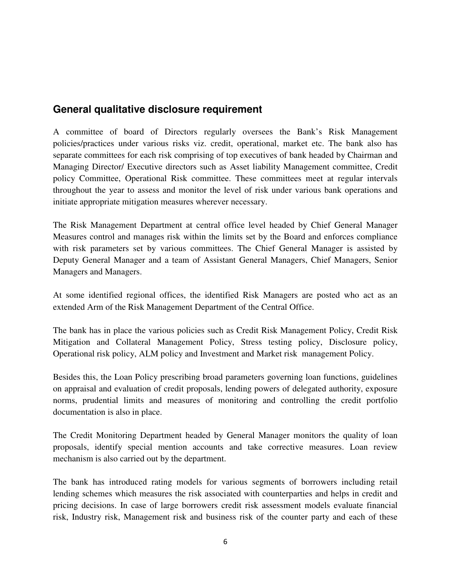# **General qualitative disclosure requirement**

A committee of board of Directors regularly oversees the Bank's Risk Management policies/practices under various risks viz. credit, operational, market etc. The bank also has separate committees for each risk comprising of top executives of bank headed by Chairman and Managing Director/ Executive directors such as Asset liability Management committee, Credit policy Committee, Operational Risk committee. These committees meet at regular intervals throughout the year to assess and monitor the level of risk under various bank operations and initiate appropriate mitigation measures wherever necessary.

The Risk Management Department at central office level headed by Chief General Manager Measures control and manages risk within the limits set by the Board and enforces compliance with risk parameters set by various committees. The Chief General Manager is assisted by Deputy General Manager and a team of Assistant General Managers, Chief Managers, Senior Managers and Managers.

At some identified regional offices, the identified Risk Managers are posted who act as an extended Arm of the Risk Management Department of the Central Office.

The bank has in place the various policies such as Credit Risk Management Policy, Credit Risk Mitigation and Collateral Management Policy, Stress testing policy, Disclosure policy, Operational risk policy, ALM policy and Investment and Market risk management Policy.

Besides this, the Loan Policy prescribing broad parameters governing loan functions, guidelines on appraisal and evaluation of credit proposals, lending powers of delegated authority, exposure norms, prudential limits and measures of monitoring and controlling the credit portfolio documentation is also in place.

The Credit Monitoring Department headed by General Manager monitors the quality of loan proposals, identify special mention accounts and take corrective measures. Loan review mechanism is also carried out by the department.

The bank has introduced rating models for various segments of borrowers including retail lending schemes which measures the risk associated with counterparties and helps in credit and pricing decisions. In case of large borrowers credit risk assessment models evaluate financial risk, Industry risk, Management risk and business risk of the counter party and each of these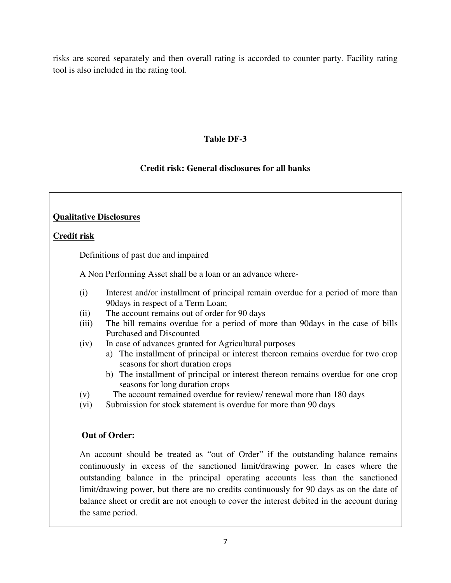risks are scored separately and then overall rating is accorded to counter party. Facility rating tool is also included in the rating tool.

#### **Table DF-3**

### **Credit risk: General disclosures for all banks**

### **Qualitative Disclosures**

#### **Credit risk**

Definitions of past due and impaired

A Non Performing Asset shall be a loan or an advance where-

- (i) Interest and/or installment of principal remain overdue for a period of more than 90days in respect of a Term Loan;
- (ii) The account remains out of order for 90 days
- (iii) The bill remains overdue for a period of more than 90days in the case of bills Purchased and Discounted
- (iv) In case of advances granted for Agricultural purposes
	- a) The installment of principal or interest thereon remains overdue for two crop seasons for short duration crops
	- b) The installment of principal or interest thereon remains overdue for one crop seasons for long duration crops
- (v) The account remained overdue for review/ renewal more than 180 days
- (vi) Submission for stock statement is overdue for more than 90 days

#### **Out of Order:**

An account should be treated as "out of Order" if the outstanding balance remains continuously in excess of the sanctioned limit/drawing power. In cases where the outstanding balance in the principal operating accounts less than the sanctioned limit/drawing power, but there are no credits continuously for 90 days as on the date of balance sheet or credit are not enough to cover the interest debited in the account during the same period.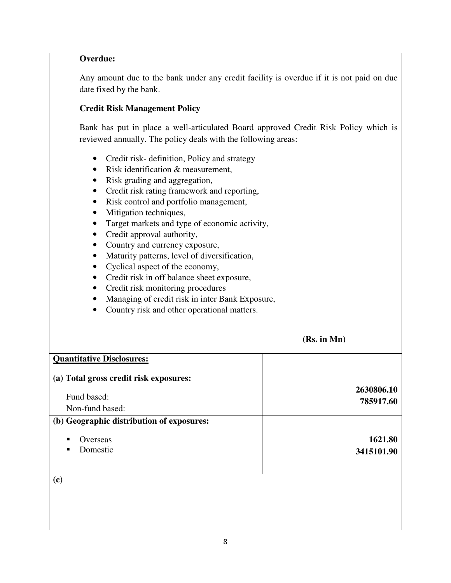#### **Overdue:**

Any amount due to the bank under any credit facility is overdue if it is not paid on due date fixed by the bank.

#### **Credit Risk Management Policy**

Bank has put in place a well-articulated Board approved Credit Risk Policy which is reviewed annually. The policy deals with the following areas:

- Credit risk- definition, Policy and strategy
- Risk identification & measurement,
- Risk grading and aggregation,
- Credit risk rating framework and reporting,
- Risk control and portfolio management,
- Mitigation techniques,
- Target markets and type of economic activity,
- Credit approval authority,
- Country and currency exposure,
- Maturity patterns, level of diversification,
- Cyclical aspect of the economy,
- Credit risk in off balance sheet exposure,
- Credit risk monitoring procedures
- Managing of credit risk in inter Bank Exposure,
- Country risk and other operational matters.

|                                           | (Rs. in Mn) |
|-------------------------------------------|-------------|
| <b>Quantitative Disclosures:</b>          |             |
| (a) Total gross credit risk exposures:    |             |
|                                           | 2630806.10  |
| Fund based:                               | 785917.60   |
| Non-fund based:                           |             |
| (b) Geographic distribution of exposures: |             |
| Overseas                                  | 1621.80     |
| Domestic<br>п                             | 3415101.90  |
|                                           |             |
| (c)                                       |             |
|                                           |             |
|                                           |             |
|                                           |             |
|                                           |             |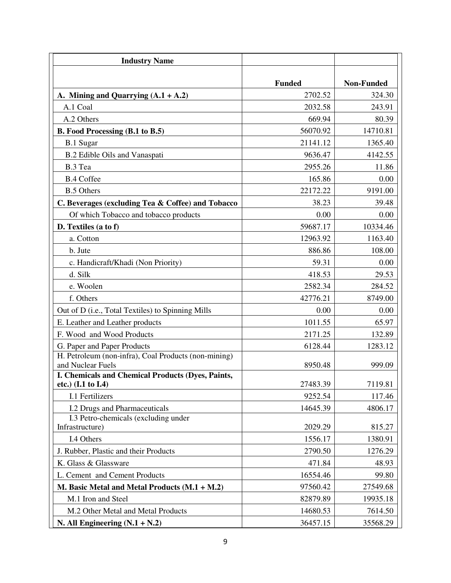| <b>Industry Name</b>                                                               |               |                   |
|------------------------------------------------------------------------------------|---------------|-------------------|
|                                                                                    |               |                   |
|                                                                                    | <b>Funded</b> | <b>Non-Funded</b> |
| A. Mining and Quarrying $(A.1 + A.2)$                                              | 2702.52       | 324.30            |
| A.1 Coal                                                                           | 2032.58       | 243.91            |
| A.2 Others                                                                         | 669.94        | 80.39             |
| B. Food Processing (B.1 to B.5)                                                    | 56070.92      | 14710.81          |
| <b>B.1 Sugar</b>                                                                   | 21141.12      | 1365.40           |
| B.2 Edible Oils and Vanaspati                                                      | 9636.47       | 4142.55           |
| B.3 Tea                                                                            | 2955.26       | 11.86             |
| <b>B.4 Coffee</b>                                                                  | 165.86        | 0.00              |
| <b>B.5 Others</b>                                                                  | 22172.22      | 9191.00           |
| C. Beverages (excluding Tea & Coffee) and Tobacco                                  | 38.23         | 39.48             |
| Of which Tobacco and tobacco products                                              | 0.00          | 0.00              |
| D. Textiles (a to f)                                                               | 59687.17      | 10334.46          |
| a. Cotton                                                                          | 12963.92      | 1163.40           |
| b. Jute                                                                            | 886.86        | 108.00            |
| c. Handicraft/Khadi (Non Priority)                                                 | 59.31         | 0.00              |
| d. Silk                                                                            | 418.53        | 29.53             |
| e. Woolen                                                                          | 2582.34       | 284.52            |
| f. Others                                                                          | 42776.21      | 8749.00           |
| Out of D (i.e., Total Textiles) to Spinning Mills                                  | 0.00          | 0.00              |
| E. Leather and Leather products                                                    | 1011.55       | 65.97             |
| F. Wood and Wood Products                                                          | 2171.25       | 132.89            |
| G. Paper and Paper Products                                                        | 6128.44       | 1283.12           |
| H. Petroleum (non-infra), Coal Products (non-mining)<br>and Nuclear Fuels          | 8950.48       | 999.09            |
| I. Chemicals and Chemical Products (Dyes, Paints,<br>etc.) $(I.1 \text{ to } I.4)$ | 27483.39      | 7119.81           |
| I.1 Fertilizers                                                                    | 9252.54       | 117.46            |
| I.2 Drugs and Pharmaceuticals                                                      | 14645.39      | 4806.17           |
| I.3 Petro-chemicals (excluding under<br>Infrastructure)                            | 2029.29       | 815.27            |
| I.4 Others                                                                         | 1556.17       | 1380.91           |
| J. Rubber, Plastic and their Products                                              | 2790.50       | 1276.29           |
| K. Glass & Glassware                                                               | 471.84        | 48.93             |
| L. Cement and Cement Products                                                      | 16554.46      | 99.80             |
| M. Basic Metal and Metal Products (M.1 + M.2)                                      | 97560.42      | 27549.68          |
| M.1 Iron and Steel                                                                 | 82879.89      | 19935.18          |
| M.2 Other Metal and Metal Products                                                 | 14680.53      | 7614.50           |
| N. All Engineering $(N.1 + N.2)$                                                   | 36457.15      | 35568.29          |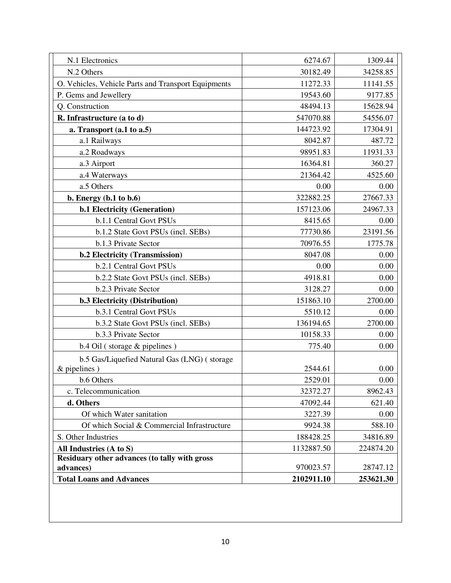| N.1 Electronics                                     | 6274.67    | 1309.44   |
|-----------------------------------------------------|------------|-----------|
| N.2 Others                                          | 30182.49   | 34258.85  |
| O. Vehicles, Vehicle Parts and Transport Equipments | 11272.33   | 11141.55  |
| P. Gems and Jewellery                               | 19543.60   | 9177.85   |
| Q. Construction                                     | 48494.13   | 15628.94  |
| R. Infrastructure (a to d)                          | 547070.88  | 54556.07  |
| a. Transport $(a.1 to a.5)$                         | 144723.92  | 17304.91  |
| a.1 Railways                                        | 8042.87    | 487.72    |
| a.2 Roadways                                        | 98951.83   | 11931.33  |
| a.3 Airport                                         | 16364.81   | 360.27    |
| a.4 Waterways                                       | 21364.42   | 4525.60   |
| a.5 Others                                          | 0.00       | 0.00      |
| b. Energy (b.1 to b.6)                              | 322882.25  | 27667.33  |
| <b>b.1 Electricity (Generation)</b>                 | 157123.06  | 24967.33  |
| b.1.1 Central Govt PSUs                             | 8415.65    | 0.00      |
| b.1.2 State Govt PSUs (incl. SEBs)                  | 77730.86   | 23191.56  |
| b.1.3 Private Sector                                | 70976.55   | 1775.78   |
| b.2 Electricity (Transmission)                      | 8047.08    | 0.00      |
| b.2.1 Central Govt PSUs                             | 0.00       | 0.00      |
| b.2.2 State Govt PSUs (incl. SEBs)                  | 4918.81    | 0.00      |
| b.2.3 Private Sector                                | 3128.27    | 0.00      |
| <b>b.3 Electricity (Distribution)</b>               | 151863.10  | 2700.00   |
| b.3.1 Central Govt PSUs                             | 5510.12    | 0.00      |
| b.3.2 State Govt PSUs (incl. SEBs)                  | 136194.65  | 2700.00   |
| b.3.3 Private Sector                                | 10158.33   | 0.00      |
| b.4 Oil (storage & pipelines)                       | 775.40     | 0.00      |
| b.5 Gas/Liquefied Natural Gas (LNG) (storage        |            |           |
| $&$ pipelines)                                      | 2544.61    | 0.00      |
| b.6 Others                                          | 2529.01    | 0.00      |
| c. Telecommunication                                | 32372.27   | 8962.43   |
| d. Others                                           | 47092.44   | 621.40    |
| Of which Water sanitation                           | 3227.39    | 0.00      |
| Of which Social & Commercial Infrastructure         | 9924.38    | 588.10    |
| S. Other Industries                                 | 188428.25  | 34816.89  |
| All Industries (A to S)                             | 1132887.50 | 224874.20 |
| Residuary other advances (to tally with gross       |            |           |
| advances)                                           | 970023.57  | 28747.12  |
| <b>Total Loans and Advances</b>                     | 2102911.10 | 253621.30 |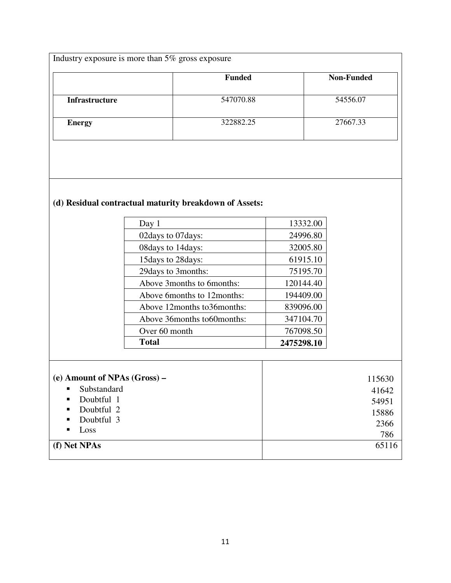| Industry exposure is more than $5\%$ gross exposure |               |                   |  |
|-----------------------------------------------------|---------------|-------------------|--|
|                                                     | <b>Funded</b> | <b>Non-Funded</b> |  |
| <b>Infrastructure</b>                               | 547070.88     | 54556.07          |  |
| <b>Energy</b>                                       | 322882.25     | 27667.33          |  |
|                                                     |               |                   |  |

# **(d) Residual contractual maturity breakdown of Assets:**

| <b>Total</b>                | 2475298.10 |
|-----------------------------|------------|
| Over 60 month               | 767098.50  |
| Above 36months to60months:  | 347104.70  |
| Above 12months to 36months: | 839096.00  |
| Above 6months to 12months:  | 194409.00  |
| Above 3 months to 6 months: | 120144.40  |
| 29 days to 3 months:        | 75195.70   |
| 15 days to 28 days:         | 61915.10   |
| 08 days to 14 days:         | 32005.80   |
| 02 days to 07 days:         | 24996.80   |
| Day 1                       | 13332.00   |

| (e) Amount of NPAs $(Gross)$ –        | 115630 |
|---------------------------------------|--------|
| Substandard<br>$\blacksquare$         | 41642  |
| Doubtful 1<br><b>Contract</b>         | 54951  |
| Doubtful 2<br>$\blacksquare$ .        | 15886  |
| Doubtful 3<br>$\sim 10^{-11}$         | 2366   |
| Loss<br>$\mathbf{E}$ and $\mathbf{E}$ | 786    |
| (f) Net NPAs                          | 65116  |
|                                       |        |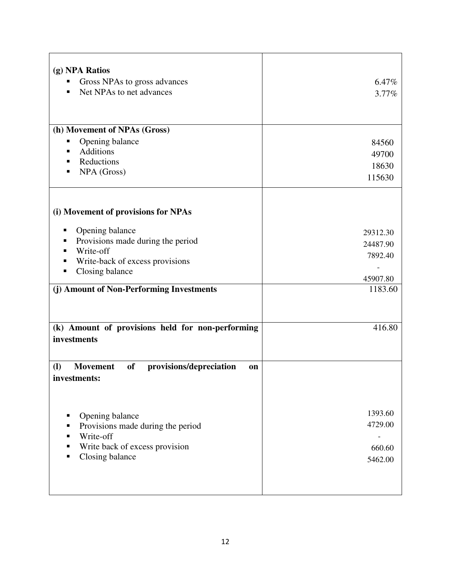| (g) NPA Ratios<br>Gross NPAs to gross advances<br>■<br>Net NPAs to net advances<br>٠                                                                                                                                 | 6.47%<br>3.77%                                         |
|----------------------------------------------------------------------------------------------------------------------------------------------------------------------------------------------------------------------|--------------------------------------------------------|
| (h) Movement of NPAs (Gross)<br>Opening balance<br>п<br>Additions<br>٠<br>Reductions<br>٠<br>NPA (Gross)<br>■                                                                                                        | 84560<br>49700<br>18630<br>115630                      |
| (i) Movement of provisions for NPAs<br>Opening balance<br>п<br>Provisions made during the period<br>п<br>Write-off<br>Write-back of excess provisions<br>Closing balance<br>(j) Amount of Non-Performing Investments | 29312.30<br>24487.90<br>7892.40<br>45907.80<br>1183.60 |
| (k) Amount of provisions held for non-performing<br>investments                                                                                                                                                      | 416.80                                                 |
| <b>of</b><br><b>(I)</b><br><b>Movement</b><br>provisions/depreciation<br><b>on</b><br>investments:                                                                                                                   |                                                        |
| Opening balance<br>٠<br>Provisions made during the period<br>Write-off<br>Write back of excess provision<br>п<br>Closing balance                                                                                     | 1393.60<br>4729.00<br>660.60<br>5462.00                |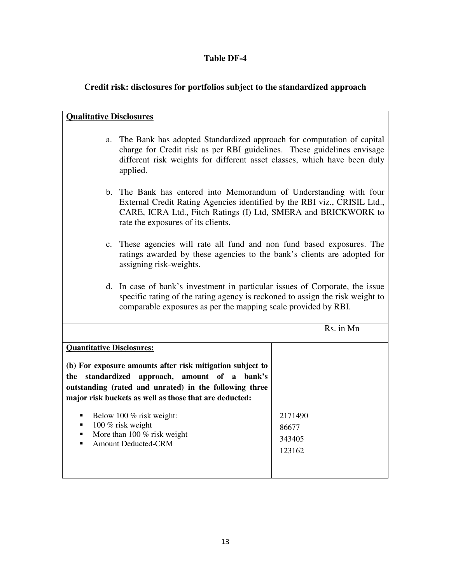# **Credit risk: disclosures for portfolios subject to the standardized approach**

| <b>Qualitative Disclosures</b>                                                                                                                                                                                                                 |                                                                                                                                                                                                                  |  |  |
|------------------------------------------------------------------------------------------------------------------------------------------------------------------------------------------------------------------------------------------------|------------------------------------------------------------------------------------------------------------------------------------------------------------------------------------------------------------------|--|--|
| The Bank has adopted Standardized approach for computation of capital<br>a.<br>charge for Credit risk as per RBI guidelines. These guidelines envisage<br>different risk weights for different asset classes, which have been duly<br>applied. |                                                                                                                                                                                                                  |  |  |
| rate the exposures of its clients.                                                                                                                                                                                                             | b. The Bank has entered into Memorandum of Understanding with four<br>External Credit Rating Agencies identified by the RBI viz., CRISIL Ltd.,<br>CARE, ICRA Ltd., Fitch Ratings (I) Ltd, SMERA and BRICKWORK to |  |  |
| assigning risk-weights.                                                                                                                                                                                                                        | c. These agencies will rate all fund and non fund based exposures. The<br>ratings awarded by these agencies to the bank's clients are adopted for                                                                |  |  |
| d. In case of bank's investment in particular issues of Corporate, the issue<br>specific rating of the rating agency is reckoned to assign the risk weight to<br>comparable exposures as per the mapping scale provided by RBI.                |                                                                                                                                                                                                                  |  |  |
| Rs. in Mn                                                                                                                                                                                                                                      |                                                                                                                                                                                                                  |  |  |
| <b>Quantitative Disclosures:</b>                                                                                                                                                                                                               |                                                                                                                                                                                                                  |  |  |
| (b) For exposure amounts after risk mitigation subject to<br>standardized<br>approach,<br>amount of a<br>bank's<br>the<br>outstanding (rated and unrated) in the following three<br>major risk buckets as well as those that are deducted:     |                                                                                                                                                                                                                  |  |  |
| Below 100 % risk weight:<br>100 % risk weight                                                                                                                                                                                                  | 2171490                                                                                                                                                                                                          |  |  |
| More than 100 $%$ risk weight<br>٠                                                                                                                                                                                                             | 86677<br>343405                                                                                                                                                                                                  |  |  |
| <b>Amount Deducted-CRM</b><br>■                                                                                                                                                                                                                | 123162                                                                                                                                                                                                           |  |  |
|                                                                                                                                                                                                                                                |                                                                                                                                                                                                                  |  |  |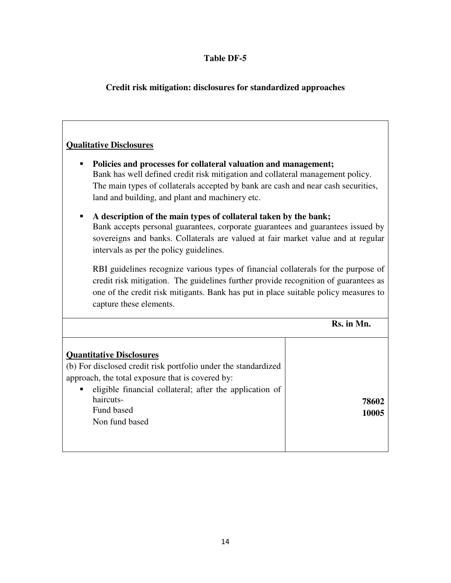## **Credit risk mitigation: disclosures for standardized approaches**

#### **Qualitative Disclosures**

- **Policies and processes for collateral valuation and management;** Bank has well defined credit risk mitigation and collateral management policy. The main types of collaterals accepted by bank are cash and near cash securities, land and building, and plant and machinery etc.
- **A description of the main types of collateral taken by the bank;** Bank accepts personal guarantees, corporate guarantees and guarantees issued by

sovereigns and banks. Collaterals are valued at fair market value and at regular intervals as per the policy guidelines.

RBI guidelines recognize various types of financial collaterals for the purpose of credit risk mitigation. The guidelines further provide recognition of guarantees as one of the credit risk mitigants. Bank has put in place suitable policy measures to capture these elements.

**Rs. in Mn.**

| <b>Quantitative Disclosures</b><br>(b) For disclosed credit risk portfolio under the standardized<br>approach, the total exposure that is covered by: |       |
|-------------------------------------------------------------------------------------------------------------------------------------------------------|-------|
| eligible financial collateral; after the application of<br>$\blacksquare$                                                                             |       |
| haircuts-                                                                                                                                             | 78602 |
| Fund based                                                                                                                                            | 10005 |
| Non fund based                                                                                                                                        |       |
|                                                                                                                                                       |       |
|                                                                                                                                                       |       |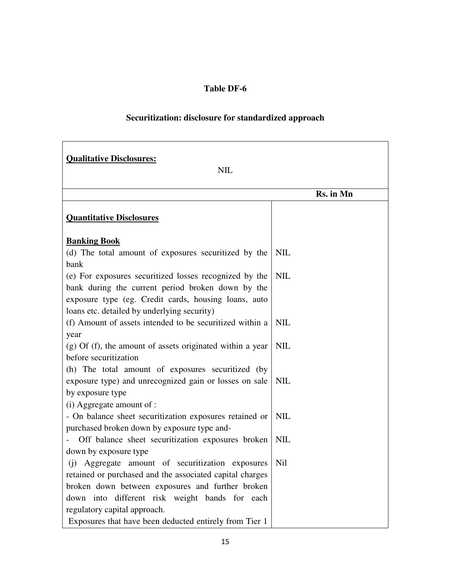# **Securitization: disclosure for standardized approach**

| <b>Qualitative Disclosures:</b>                             |            |  |  |  |
|-------------------------------------------------------------|------------|--|--|--|
| <b>NIL</b>                                                  |            |  |  |  |
|                                                             | Rs. in Mn  |  |  |  |
| <b>Quantitative Disclosures</b>                             |            |  |  |  |
| <b>Banking Book</b>                                         |            |  |  |  |
| (d) The total amount of exposures securitized by the        | <b>NIL</b> |  |  |  |
| bank                                                        |            |  |  |  |
| (e) For exposures securitized losses recognized by the      | <b>NIL</b> |  |  |  |
| bank during the current period broken down by the           |            |  |  |  |
| exposure type (eg. Credit cards, housing loans, auto        |            |  |  |  |
| loans etc. detailed by underlying security)                 |            |  |  |  |
| (f) Amount of assets intended to be securitized within a    | <b>NIL</b> |  |  |  |
| year                                                        |            |  |  |  |
| $(g)$ Of (f), the amount of assets originated within a year | <b>NIL</b> |  |  |  |
| before securitization                                       |            |  |  |  |
| (h) The total amount of exposures securitized (by           |            |  |  |  |
| exposure type) and unrecognized gain or losses on sale      | <b>NIL</b> |  |  |  |
| by exposure type<br>(i) Aggregate amount of :               |            |  |  |  |
| - On balance sheet securitization exposures retained or     | <b>NIL</b> |  |  |  |
| purchased broken down by exposure type and-                 |            |  |  |  |
| Off balance sheet securitization exposures broken           | <b>NIL</b> |  |  |  |
| down by exposure type                                       |            |  |  |  |
| (i) Aggregate amount of securitization exposures            | <b>Nil</b> |  |  |  |
| retained or purchased and the associated capital charges    |            |  |  |  |
| broken down between exposures and further broken            |            |  |  |  |
| down into different risk weight bands for each              |            |  |  |  |
| regulatory capital approach.                                |            |  |  |  |
| Exposures that have been deducted entirely from Tier 1      |            |  |  |  |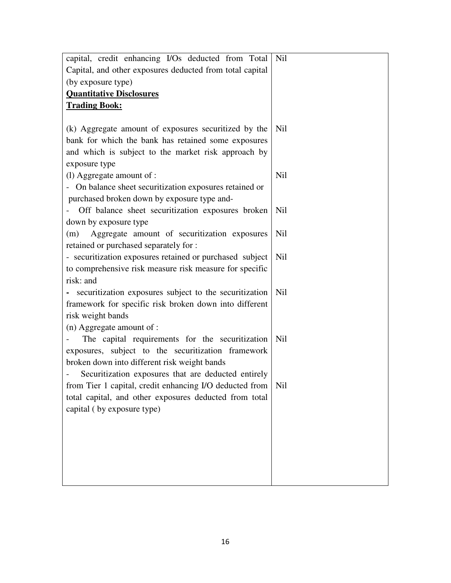| capital, credit enhancing I/Os deducted from Total       | Nil        |
|----------------------------------------------------------|------------|
| Capital, and other exposures deducted from total capital |            |
| (by exposure type)                                       |            |
| <b>Quantitative Disclosures</b>                          |            |
| <b>Trading Book:</b>                                     |            |
|                                                          |            |
| (k) Aggregate amount of exposures securitized by the     | Nil        |
| bank for which the bank has retained some exposures      |            |
| and which is subject to the market risk approach by      |            |
| exposure type                                            |            |
| (l) Aggregate amount of :                                | Nil        |
| - On balance sheet securitization exposures retained or  |            |
| purchased broken down by exposure type and-              |            |
| Off balance sheet securitization exposures broken        | <b>Nil</b> |
| down by exposure type                                    |            |
| Aggregate amount of securitization exposures<br>(m)      | Nil        |
| retained or purchased separately for :                   |            |
| - securitization exposures retained or purchased subject | <b>Nil</b> |
| to comprehensive risk measure risk measure for specific  |            |
| risk: and                                                |            |
| securitization exposures subject to the securitization   | Nil        |
| framework for specific risk broken down into different   |            |
| risk weight bands                                        |            |
| (n) Aggregate amount of :                                |            |
| The capital requirements for the securitization          | <b>Nil</b> |
| exposures, subject to the securitization framework       |            |
| broken down into different risk weight bands             |            |
| Securitization exposures that are deducted entirely      |            |
| from Tier 1 capital, credit enhancing I/O deducted from  | Nil        |
| total capital, and other exposures deducted from total   |            |
| capital (by exposure type)                               |            |
|                                                          |            |
|                                                          |            |
|                                                          |            |
|                                                          |            |
|                                                          |            |
|                                                          |            |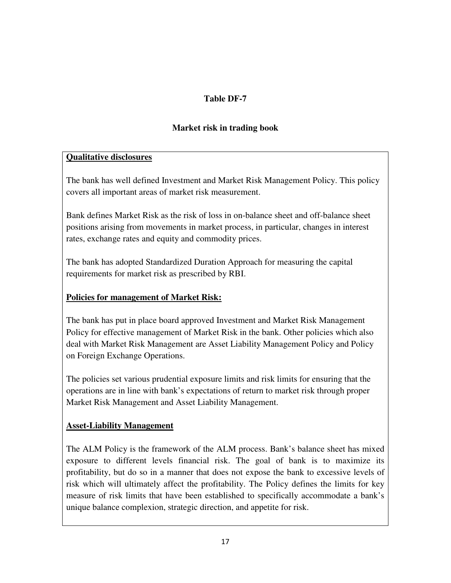### **Market risk in trading book**

#### **Qualitative disclosures**

The bank has well defined Investment and Market Risk Management Policy. This policy covers all important areas of market risk measurement.

Bank defines Market Risk as the risk of loss in on-balance sheet and off-balance sheet positions arising from movements in market process, in particular, changes in interest rates, exchange rates and equity and commodity prices.

The bank has adopted Standardized Duration Approach for measuring the capital requirements for market risk as prescribed by RBI.

## **Policies for management of Market Risk:**

The bank has put in place board approved Investment and Market Risk Management Policy for effective management of Market Risk in the bank. Other policies which also deal with Market Risk Management are Asset Liability Management Policy and Policy on Foreign Exchange Operations.

The policies set various prudential exposure limits and risk limits for ensuring that the operations are in line with bank's expectations of return to market risk through proper Market Risk Management and Asset Liability Management.

#### **Asset-Liability Management**

The ALM Policy is the framework of the ALM process. Bank's balance sheet has mixed exposure to different levels financial risk. The goal of bank is to maximize its profitability, but do so in a manner that does not expose the bank to excessive levels of risk which will ultimately affect the profitability. The Policy defines the limits for key measure of risk limits that have been established to specifically accommodate a bank's unique balance complexion, strategic direction, and appetite for risk.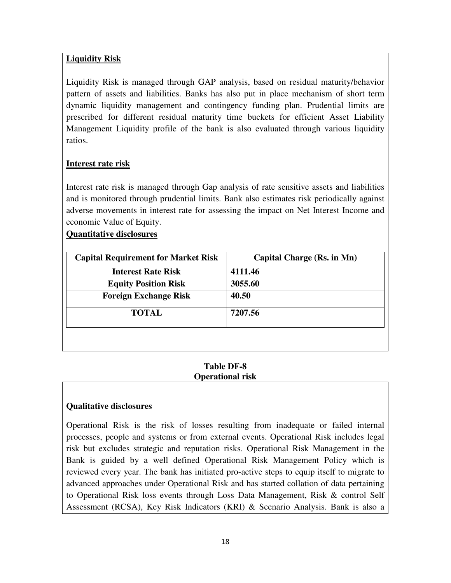## **Liquidity Risk**

Liquidity Risk is managed through GAP analysis, based on residual maturity/behavior pattern of assets and liabilities. Banks has also put in place mechanism of short term dynamic liquidity management and contingency funding plan. Prudential limits are prescribed for different residual maturity time buckets for efficient Asset Liability Management Liquidity profile of the bank is also evaluated through various liquidity ratios.

#### **Interest rate risk**

Interest rate risk is managed through Gap analysis of rate sensitive assets and liabilities and is monitored through prudential limits. Bank also estimates risk periodically against adverse movements in interest rate for assessing the impact on Net Interest Income and economic Value of Equity.

### **Quantitative disclosures**

| <b>Capital Requirement for Market Risk</b> | Capital Charge (Rs. in Mn) |
|--------------------------------------------|----------------------------|
| <b>Interest Rate Risk</b>                  | 4111.46                    |
| <b>Equity Position Risk</b>                | 3055.60                    |
| <b>Foreign Exchange Risk</b>               | 40.50                      |
| <b>TOTAL</b>                               | 7207.56                    |
|                                            |                            |

#### **Table DF-8 Operational risk**

#### **Qualitative disclosures**

Operational Risk is the risk of losses resulting from inadequate or failed internal processes, people and systems or from external events. Operational Risk includes legal risk but excludes strategic and reputation risks. Operational Risk Management in the Bank is guided by a well defined Operational Risk Management Policy which is reviewed every year. The bank has initiated pro-active steps to equip itself to migrate to advanced approaches under Operational Risk and has started collation of data pertaining to Operational Risk loss events through Loss Data Management, Risk & control Self Assessment (RCSA), Key Risk Indicators (KRI) & Scenario Analysis. Bank is also a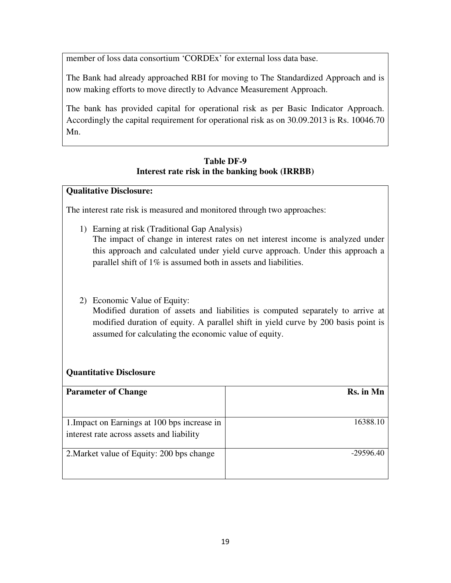member of loss data consortium 'CORDEx' for external loss data base.

The Bank had already approached RBI for moving to The Standardized Approach and is now making efforts to move directly to Advance Measurement Approach.

The bank has provided capital for operational risk as per Basic Indicator Approach. Accordingly the capital requirement for operational risk as on 30.09.2013 is Rs. 10046.70 Mn.

## **Table DF-9 Interest rate risk in the banking book (IRRBB)**

### **Qualitative Disclosure:**

The interest rate risk is measured and monitored through two approaches:

- 1) Earning at risk (Traditional Gap Analysis) The impact of change in interest rates on net interest income is analyzed under this approach and calculated under yield curve approach. Under this approach a parallel shift of 1% is assumed both in assets and liabilities.
- 2) Economic Value of Equity:

Modified duration of assets and liabilities is computed separately to arrive at modified duration of equity. A parallel shift in yield curve by 200 basis point is assumed for calculating the economic value of equity.

## **Quantitative Disclosure**

| Rs. in Mn   |
|-------------|
|             |
| 16388.10    |
|             |
|             |
|             |
|             |
| $-29596.40$ |
|             |
|             |
|             |
|             |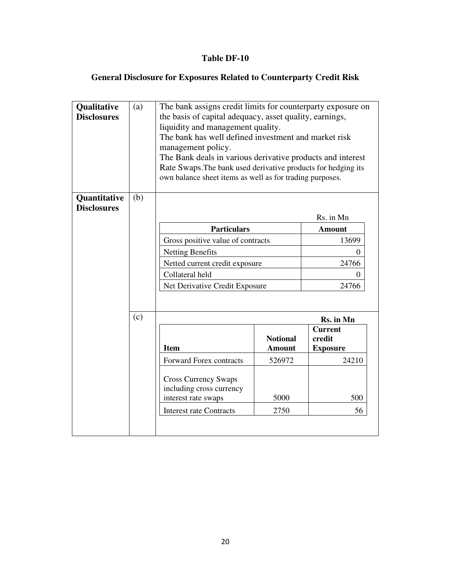# **General Disclosure for Exposures Related to Counterparty Credit Risk**

| Qualitative<br><b>Disclosures</b>  | (a) | The bank assigns credit limits for counterparty exposure on<br>the basis of capital adequacy, asset quality, earnings,<br>liquidity and management quality.<br>The bank has well defined investment and market risk<br>management policy.<br>The Bank deals in various derivative products and interest<br>Rate Swaps. The bank used derivative products for hedging its<br>own balance sheet items as well as for trading purposes. |                                  |                                             |  |  |  |
|------------------------------------|-----|--------------------------------------------------------------------------------------------------------------------------------------------------------------------------------------------------------------------------------------------------------------------------------------------------------------------------------------------------------------------------------------------------------------------------------------|----------------------------------|---------------------------------------------|--|--|--|
| Quantitative<br><b>Disclosures</b> | (b) | Rs. in Mn                                                                                                                                                                                                                                                                                                                                                                                                                            |                                  |                                             |  |  |  |
|                                    |     | <b>Particulars</b>                                                                                                                                                                                                                                                                                                                                                                                                                   |                                  | <b>Amount</b>                               |  |  |  |
|                                    |     | Gross positive value of contracts                                                                                                                                                                                                                                                                                                                                                                                                    |                                  | 13699                                       |  |  |  |
|                                    |     | Netting Benefits                                                                                                                                                                                                                                                                                                                                                                                                                     |                                  | $\Omega$                                    |  |  |  |
|                                    |     | Netted current credit exposure<br>24766                                                                                                                                                                                                                                                                                                                                                                                              |                                  |                                             |  |  |  |
|                                    |     | Collateral held<br>0                                                                                                                                                                                                                                                                                                                                                                                                                 |                                  |                                             |  |  |  |
|                                    |     | Net Derivative Credit Exposure<br>24766                                                                                                                                                                                                                                                                                                                                                                                              |                                  |                                             |  |  |  |
|                                    | (c) | Rs. in Mn                                                                                                                                                                                                                                                                                                                                                                                                                            |                                  |                                             |  |  |  |
|                                    |     | <b>Item</b>                                                                                                                                                                                                                                                                                                                                                                                                                          | <b>Notional</b><br><b>Amount</b> | <b>Current</b><br>credit<br><b>Exposure</b> |  |  |  |
|                                    |     | <b>Forward Forex contracts</b>                                                                                                                                                                                                                                                                                                                                                                                                       | 526972                           | 24210                                       |  |  |  |
|                                    |     | <b>Cross Currency Swaps</b><br>including cross currency<br>interest rate swaps                                                                                                                                                                                                                                                                                                                                                       | 5000                             | 500                                         |  |  |  |
|                                    |     | 2750<br>56<br><b>Interest rate Contracts</b>                                                                                                                                                                                                                                                                                                                                                                                         |                                  |                                             |  |  |  |
|                                    |     |                                                                                                                                                                                                                                                                                                                                                                                                                                      |                                  |                                             |  |  |  |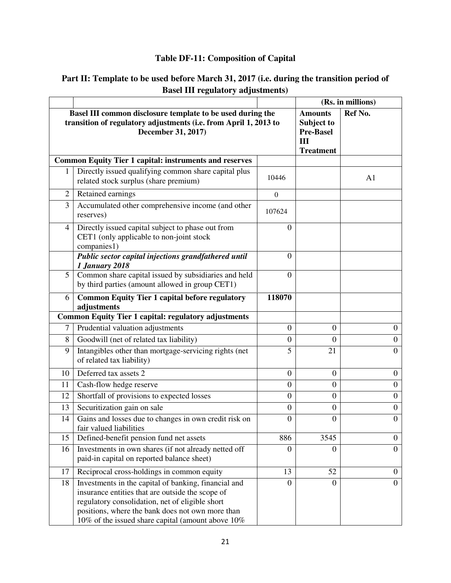# **Table DF-11: Composition of Capital**

| Part II: Template to be used before March 31, 2017 (i.e. during the transition period of |  |
|------------------------------------------------------------------------------------------|--|
| <b>Basel III regulatory adjustments</b>                                                  |  |

|                |                                                                                                                                                                                                                                                                      |                  | (Rs. in millions)                                                           |                  |
|----------------|----------------------------------------------------------------------------------------------------------------------------------------------------------------------------------------------------------------------------------------------------------------------|------------------|-----------------------------------------------------------------------------|------------------|
|                | Basel III common disclosure template to be used during the<br>transition of regulatory adjustments (i.e. from April 1, 2013 to<br>December 31, 2017)                                                                                                                 |                  | <b>Amounts</b><br>Subject to<br><b>Pre-Basel</b><br>III<br><b>Treatment</b> | Ref No.          |
|                | <b>Common Equity Tier 1 capital: instruments and reserves</b>                                                                                                                                                                                                        |                  |                                                                             |                  |
| 1              | Directly issued qualifying common share capital plus<br>related stock surplus (share premium)                                                                                                                                                                        | 10446            |                                                                             | A1               |
| 2              | Retained earnings                                                                                                                                                                                                                                                    | $\mathbf{0}$     |                                                                             |                  |
| 3              | Accumulated other comprehensive income (and other<br>reserves)                                                                                                                                                                                                       | 107624           |                                                                             |                  |
| 4              | Directly issued capital subject to phase out from<br>CET1 (only applicable to non-joint stock<br>companies1)                                                                                                                                                         | 0                |                                                                             |                  |
|                | Public sector capital injections grandfathered until<br><b>1 January 2018</b>                                                                                                                                                                                        | $\mathbf{0}$     |                                                                             |                  |
| 5              | Common share capital issued by subsidiaries and held<br>by third parties (amount allowed in group CET1)                                                                                                                                                              | $\overline{0}$   |                                                                             |                  |
| 6              | <b>Common Equity Tier 1 capital before regulatory</b><br>adjustments                                                                                                                                                                                                 | 118070           |                                                                             |                  |
|                | <b>Common Equity Tier 1 capital: regulatory adjustments</b>                                                                                                                                                                                                          |                  |                                                                             |                  |
| $\overline{7}$ | Prudential valuation adjustments                                                                                                                                                                                                                                     | $\overline{0}$   | $\overline{0}$                                                              | $\overline{0}$   |
| 8              | Goodwill (net of related tax liability)                                                                                                                                                                                                                              | 0                | $\Omega$                                                                    | $\mathbf{0}$     |
| 9              | Intangibles other than mortgage-servicing rights (net<br>of related tax liability)                                                                                                                                                                                   | 5                | 21                                                                          | $\boldsymbol{0}$ |
| 10             | Deferred tax assets 2                                                                                                                                                                                                                                                | $\boldsymbol{0}$ | $\mathbf{0}$                                                                | $\mathbf{0}$     |
| 11             | Cash-flow hedge reserve                                                                                                                                                                                                                                              | $\boldsymbol{0}$ | $\boldsymbol{0}$                                                            | $\overline{0}$   |
| 12             | Shortfall of provisions to expected losses                                                                                                                                                                                                                           | $\boldsymbol{0}$ | $\boldsymbol{0}$                                                            | $\overline{0}$   |
| 13             | Securitization gain on sale                                                                                                                                                                                                                                          | $\boldsymbol{0}$ | $\boldsymbol{0}$                                                            | $\overline{0}$   |
| 14             | Gains and losses due to changes in own credit risk on<br>fair valued liabilities                                                                                                                                                                                     | $\boldsymbol{0}$ | $\boldsymbol{0}$                                                            | $\overline{0}$   |
| 15             | Defined-benefit pension fund net assets                                                                                                                                                                                                                              | 886              | 3545                                                                        | $\mathbf{0}$     |
| 16             | Investments in own shares (if not already netted off<br>paid-in capital on reported balance sheet)                                                                                                                                                                   | $\boldsymbol{0}$ | $\Omega$                                                                    | $\overline{0}$   |
| 17             | Reciprocal cross-holdings in common equity                                                                                                                                                                                                                           | 13               | 52                                                                          | $\overline{0}$   |
| 18             | Investments in the capital of banking, financial and<br>insurance entities that are outside the scope of<br>regulatory consolidation, net of eligible short<br>positions, where the bank does not own more than<br>10% of the issued share capital (amount above 10% | $\boldsymbol{0}$ | $\mathbf{0}$                                                                | $\overline{0}$   |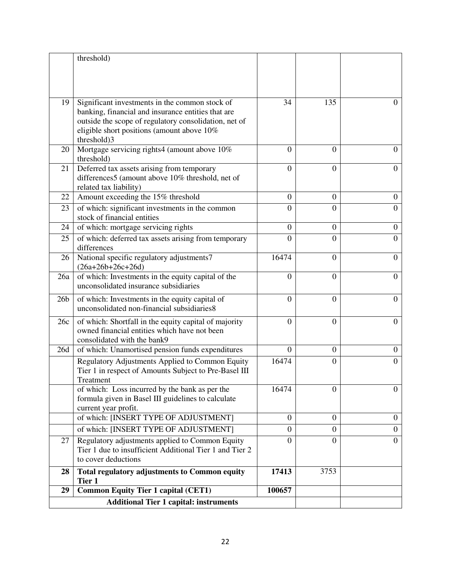|                 | threshold)                                                                                     |                  |                  |                  |
|-----------------|------------------------------------------------------------------------------------------------|------------------|------------------|------------------|
|                 |                                                                                                |                  |                  |                  |
|                 |                                                                                                |                  |                  |                  |
|                 |                                                                                                |                  |                  |                  |
| 19              | Significant investments in the common stock of                                                 | 34               | 135              | $^{(1)}$         |
|                 | banking, financial and insurance entities that are                                             |                  |                  |                  |
|                 | outside the scope of regulatory consolidation, net of                                          |                  |                  |                  |
|                 | eligible short positions (amount above 10%                                                     |                  |                  |                  |
|                 | threshold)3                                                                                    |                  |                  |                  |
| 20              | Mortgage servicing rights4 (amount above 10%)                                                  | $\theta$         | $\Omega$         | $\theta$         |
|                 | threshold)                                                                                     |                  |                  |                  |
| 21              | Deferred tax assets arising from temporary<br>differences5 (amount above 10% threshold, net of | $\overline{0}$   | $\mathbf{0}$     | $\theta$         |
|                 | related tax liability)                                                                         |                  |                  |                  |
| 22              | Amount exceeding the 15% threshold                                                             | $\overline{0}$   | $\overline{0}$   | $\boldsymbol{0}$ |
| 23              | of which: significant investments in the common                                                | $\overline{0}$   | $\overline{0}$   | $\overline{0}$   |
|                 | stock of financial entities                                                                    |                  |                  |                  |
| 24              | of which: mortgage servicing rights                                                            | $\boldsymbol{0}$ | $\mathbf{0}$     | $\boldsymbol{0}$ |
| 25              | of which: deferred tax assets arising from temporary                                           | $\overline{0}$   | $\overline{0}$   | $\overline{0}$   |
|                 | differences                                                                                    |                  |                  |                  |
| 26              | National specific regulatory adjustments7                                                      | 16474            | $\overline{0}$   | $\overline{0}$   |
|                 | $(26a+26b+26c+26d)$                                                                            |                  |                  |                  |
| 26a             | of which: Investments in the equity capital of the                                             | $\overline{0}$   | $\overline{0}$   | $\overline{0}$   |
|                 | unconsolidated insurance subsidiaries                                                          |                  |                  |                  |
| 26 <sub>b</sub> | of which: Investments in the equity capital of                                                 | $\overline{0}$   | $\overline{0}$   | $\Omega$         |
|                 | unconsolidated non-financial subsidiaries8                                                     |                  |                  |                  |
| 26c             | of which: Shortfall in the equity capital of majority                                          | $\overline{0}$   | $\overline{0}$   | $\overline{0}$   |
|                 | owned financial entities which have not been                                                   |                  |                  |                  |
|                 | consolidated with the bank9                                                                    |                  |                  |                  |
| 26d             | of which: Unamortised pension funds expenditures                                               | $\overline{0}$   | $\overline{0}$   | $\overline{0}$   |
|                 | Regulatory Adjustments Applied to Common Equity                                                | 16474            | $\mathbf{0}$     | $\overline{0}$   |
|                 | Tier 1 in respect of Amounts Subject to Pre-Basel III                                          |                  |                  |                  |
|                 | Treatment<br>of which: Loss incurred by the bank as per the                                    | 16474            | $\overline{0}$   | $\overline{0}$   |
|                 | formula given in Basel III guidelines to calculate                                             |                  |                  |                  |
|                 | current year profit.                                                                           |                  |                  |                  |
|                 | of which: [INSERT TYPE OF ADJUSTMENT]                                                          | $\theta$         | $\boldsymbol{0}$ | $\mathbf{0}$     |
|                 | of which: [INSERT TYPE OF ADJUSTMENT]                                                          | $\overline{0}$   | $\overline{0}$   | $\overline{0}$   |
| 27              | Regulatory adjustments applied to Common Equity                                                | 0                | $\overline{0}$   | $\overline{0}$   |
|                 | Tier 1 due to insufficient Additional Tier 1 and Tier 2                                        |                  |                  |                  |
|                 | to cover deductions                                                                            |                  |                  |                  |
| 28              | <b>Total regulatory adjustments to Common equity</b>                                           | 17413            | 3753             |                  |
|                 | Tier 1                                                                                         |                  |                  |                  |
| 29              | <b>Common Equity Tier 1 capital (CET1)</b>                                                     | 100657           |                  |                  |
|                 | <b>Additional Tier 1 capital: instruments</b>                                                  |                  |                  |                  |
|                 |                                                                                                |                  |                  |                  |
|                 |                                                                                                |                  |                  |                  |
|                 |                                                                                                |                  |                  |                  |
|                 | 22                                                                                             |                  |                  |                  |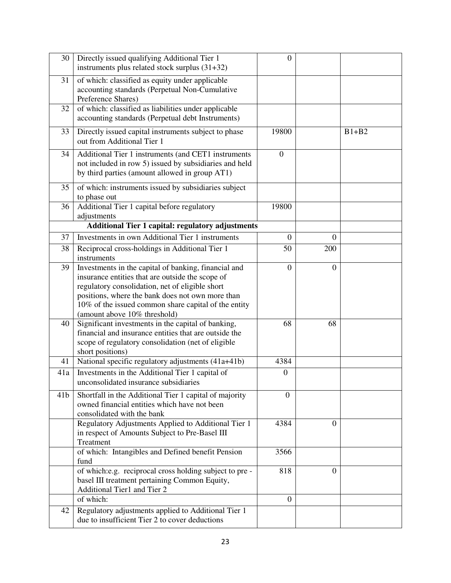| 30              | Directly issued qualifying Additional Tier 1<br>instruments plus related stock surplus $(31+32)$                                                                                                                                                                                                        | $\theta$         |                  |         |
|-----------------|---------------------------------------------------------------------------------------------------------------------------------------------------------------------------------------------------------------------------------------------------------------------------------------------------------|------------------|------------------|---------|
| 31              | of which: classified as equity under applicable<br>accounting standards (Perpetual Non-Cumulative<br>Preference Shares)                                                                                                                                                                                 |                  |                  |         |
| 32              | of which: classified as liabilities under applicable<br>accounting standards (Perpetual debt Instruments)                                                                                                                                                                                               |                  |                  |         |
| 33              | Directly issued capital instruments subject to phase<br>out from Additional Tier 1                                                                                                                                                                                                                      | 19800            |                  | $B1+B2$ |
| 34              | Additional Tier 1 instruments (and CET1 instruments<br>not included in row 5) issued by subsidiaries and held<br>by third parties (amount allowed in group AT1)                                                                                                                                         | $\overline{0}$   |                  |         |
| 35              | of which: instruments issued by subsidiaries subject<br>to phase out                                                                                                                                                                                                                                    |                  |                  |         |
| 36              | Additional Tier 1 capital before regulatory<br>adjustments                                                                                                                                                                                                                                              | 19800            |                  |         |
|                 | <b>Additional Tier 1 capital: regulatory adjustments</b>                                                                                                                                                                                                                                                |                  |                  |         |
| 37              | Investments in own Additional Tier 1 instruments                                                                                                                                                                                                                                                        | $\theta$         | $\boldsymbol{0}$ |         |
| 38              | Reciprocal cross-holdings in Additional Tier 1<br>instruments                                                                                                                                                                                                                                           | 50               | 200              |         |
| 39              | Investments in the capital of banking, financial and<br>insurance entities that are outside the scope of<br>regulatory consolidation, net of eligible short<br>positions, where the bank does not own more than<br>10% of the issued common share capital of the entity<br>(amount above 10% threshold) | $\overline{0}$   | $\theta$         |         |
| 40              | Significant investments in the capital of banking,<br>financial and insurance entities that are outside the<br>scope of regulatory consolidation (net of eligible<br>short positions)                                                                                                                   | 68               | 68               |         |
| 41              | National specific regulatory adjustments (41a+41b)                                                                                                                                                                                                                                                      | 4384             |                  |         |
| 41a             | Investments in the Additional Tier 1 capital of<br>unconsolidated insurance subsidiaries                                                                                                                                                                                                                | $\boldsymbol{0}$ |                  |         |
| 41 <sub>b</sub> | Shortfall in the Additional Tier 1 capital of majority<br>owned financial entities which have not been<br>consolidated with the bank                                                                                                                                                                    | $\overline{0}$   |                  |         |
|                 | Regulatory Adjustments Applied to Additional Tier 1<br>in respect of Amounts Subject to Pre-Basel III<br>Treatment                                                                                                                                                                                      | 4384             | $\theta$         |         |
|                 | of which: Intangibles and Defined benefit Pension<br>fund                                                                                                                                                                                                                                               | 3566             |                  |         |
|                 | of which: e.g. reciprocal cross holding subject to pre-<br>basel III treatment pertaining Common Equity,<br>Additional Tier1 and Tier 2                                                                                                                                                                 | 818              | $\theta$         |         |
|                 | of which:                                                                                                                                                                                                                                                                                               | $\overline{0}$   |                  |         |
| 42              | Regulatory adjustments applied to Additional Tier 1<br>due to insufficient Tier 2 to cover deductions                                                                                                                                                                                                   |                  |                  |         |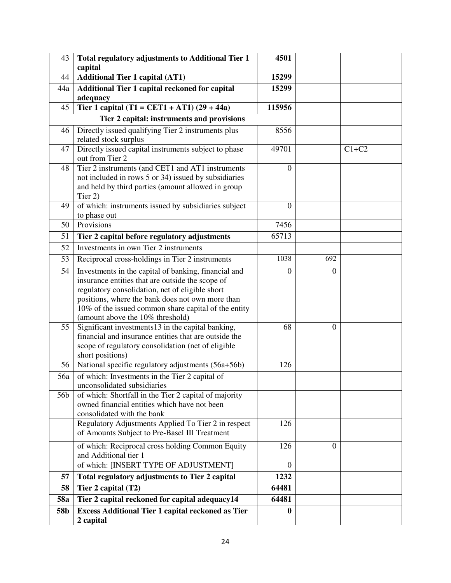| 43         | <b>Total regulatory adjustments to Additional Tier 1</b>                | 4501             |                  |         |
|------------|-------------------------------------------------------------------------|------------------|------------------|---------|
|            | capital                                                                 |                  |                  |         |
| 44         | <b>Additional Tier 1 capital (AT1)</b>                                  | 15299            |                  |         |
| 44a        | Additional Tier 1 capital reckoned for capital                          | 15299            |                  |         |
|            | adequacy                                                                |                  |                  |         |
| 45         | Tier 1 capital $(T1 = CET1 + AT1) (29 + 44a)$                           | 115956           |                  |         |
|            | Tier 2 capital: instruments and provisions                              |                  |                  |         |
| 46         | Directly issued qualifying Tier 2 instruments plus                      | 8556             |                  |         |
|            | related stock surplus                                                   |                  |                  |         |
| 47         | Directly issued capital instruments subject to phase<br>out from Tier 2 | 49701            |                  | $C1+C2$ |
| 48         | Tier 2 instruments (and CET1 and AT1 instruments                        | $\boldsymbol{0}$ |                  |         |
|            | not included in rows 5 or 34) issued by subsidiaries                    |                  |                  |         |
|            | and held by third parties (amount allowed in group                      |                  |                  |         |
|            | Tier 2)                                                                 |                  |                  |         |
| 49         | of which: instruments issued by subsidiaries subject                    | $\overline{0}$   |                  |         |
|            | to phase out                                                            |                  |                  |         |
| 50         | Provisions                                                              | 7456             |                  |         |
| 51         | Tier 2 capital before regulatory adjustments                            | 65713            |                  |         |
| 52         | Investments in own Tier 2 instruments                                   |                  |                  |         |
| 53         | Reciprocal cross-holdings in Tier 2 instruments                         | 1038             | 692              |         |
| 54         | Investments in the capital of banking, financial and                    | $\boldsymbol{0}$ | $\theta$         |         |
|            | insurance entities that are outside the scope of                        |                  |                  |         |
|            | regulatory consolidation, net of eligible short                         |                  |                  |         |
|            | positions, where the bank does not own more than                        |                  |                  |         |
|            | 10% of the issued common share capital of the entity                    |                  |                  |         |
|            | (amount above the 10% threshold)                                        |                  |                  |         |
| 55         | Significant investments 13 in the capital banking,                      | 68               | $\overline{0}$   |         |
|            | financial and insurance entities that are outside the                   |                  |                  |         |
|            | scope of regulatory consolidation (net of eligible<br>short positions)  |                  |                  |         |
| 56         | National specific regulatory adjustments (56a+56b)                      | 126              |                  |         |
| 56a        | of which: Investments in the Tier 2 capital of                          |                  |                  |         |
|            | unconsolidated subsidiaries                                             |                  |                  |         |
| 56b        | of which: Shortfall in the Tier 2 capital of majority                   |                  |                  |         |
|            | owned financial entities which have not been                            |                  |                  |         |
|            | consolidated with the bank                                              |                  |                  |         |
|            | Regulatory Adjustments Applied To Tier 2 in respect                     | 126              |                  |         |
|            | of Amounts Subject to Pre-Basel III Treatment                           |                  |                  |         |
|            | of which: Reciprocal cross holding Common Equity                        | 126              | $\boldsymbol{0}$ |         |
|            | and Additional tier 1                                                   |                  |                  |         |
|            | of which: [INSERT TYPE OF ADJUSTMENT]                                   | $\Omega$         |                  |         |
| 57         | Total regulatory adjustments to Tier 2 capital                          | 1232             |                  |         |
| 58         | Tier 2 capital (T2)                                                     | 64481            |                  |         |
| <b>58a</b> | Tier 2 capital reckoned for capital adequacy14                          | 64481            |                  |         |
| 58b        | <b>Excess Additional Tier 1 capital reckoned as Tier</b>                | 0                |                  |         |
|            | 2 capital                                                               |                  |                  |         |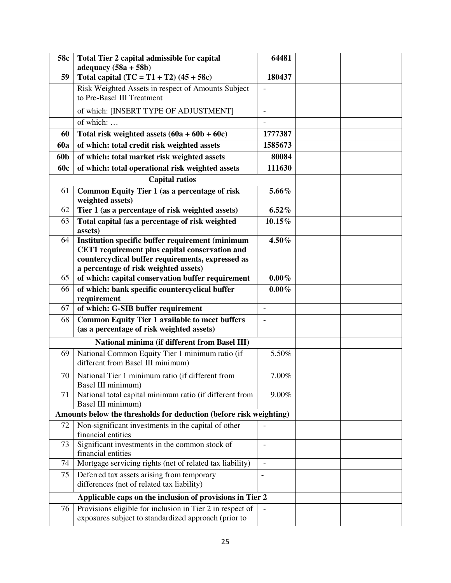| 58c        | Total Tier 2 capital admissible for capital                                                                                                                                                             | 64481                    |  |
|------------|---------------------------------------------------------------------------------------------------------------------------------------------------------------------------------------------------------|--------------------------|--|
|            | adequacy $(58a + 58b)$                                                                                                                                                                                  |                          |  |
| 59         | Total capital $(TC = T1 + T2) (45 + 58c)$                                                                                                                                                               | 180437                   |  |
|            | Risk Weighted Assets in respect of Amounts Subject<br>to Pre-Basel III Treatment                                                                                                                        |                          |  |
|            |                                                                                                                                                                                                         |                          |  |
|            | of which: [INSERT TYPE OF ADJUSTMENT]                                                                                                                                                                   | $\overline{\phantom{a}}$ |  |
|            | of which:                                                                                                                                                                                               |                          |  |
| 60         | Total risk weighted assets $(60a + 60b + 60c)$                                                                                                                                                          | 1777387                  |  |
| <b>60a</b> | of which: total credit risk weighted assets                                                                                                                                                             | 1585673                  |  |
| 60b        | of which: total market risk weighted assets                                                                                                                                                             | 80084                    |  |
| <b>60c</b> | of which: total operational risk weighted assets                                                                                                                                                        | 111630                   |  |
|            | <b>Capital ratios</b>                                                                                                                                                                                   |                          |  |
| 61         | Common Equity Tier 1 (as a percentage of risk<br>weighted assets)                                                                                                                                       | 5.66%                    |  |
| 62         | Tier 1 (as a percentage of risk weighted assets)                                                                                                                                                        | $6.52\%$                 |  |
| 63         | Total capital (as a percentage of risk weighted<br>assets)                                                                                                                                              | 10.15%                   |  |
| 64         | <b>Institution specific buffer requirement (minimum</b><br>CET1 requirement plus capital conservation and<br>countercyclical buffer requirements, expressed as<br>a percentage of risk weighted assets) | 4.50%                    |  |
| 65         | of which: capital conservation buffer requirement                                                                                                                                                       | $0.00\%$                 |  |
| 66         | of which: bank specific countercyclical buffer                                                                                                                                                          | $0.00\%$                 |  |
|            | requirement                                                                                                                                                                                             |                          |  |
| 67         | of which: G-SIB buffer requirement                                                                                                                                                                      |                          |  |
| 68         | <b>Common Equity Tier 1 available to meet buffers</b><br>(as a percentage of risk weighted assets)                                                                                                      |                          |  |
|            | National minima (if different from Basel III)                                                                                                                                                           |                          |  |
| 69         | National Common Equity Tier 1 minimum ratio (if<br>different from Basel III minimum)                                                                                                                    | $\overline{5.50\%}$      |  |
| 70         | National Tier 1 minimum ratio (if different from<br>Basel III minimum)                                                                                                                                  | 7.00%                    |  |
| 71         | National total capital minimum ratio (if different from<br>Basel III minimum)                                                                                                                           | 9.00%                    |  |
|            | Amounts below the thresholds for deduction (before risk weighting)                                                                                                                                      |                          |  |
| 72         | Non-significant investments in the capital of other<br>financial entities                                                                                                                               |                          |  |
| 73         | Significant investments in the common stock of<br>financial entities                                                                                                                                    | $\overline{\phantom{a}}$ |  |
| 74         | Mortgage servicing rights (net of related tax liability)                                                                                                                                                |                          |  |
| 75         | Deferred tax assets arising from temporary<br>differences (net of related tax liability)                                                                                                                | $\overline{a}$           |  |
|            | Applicable caps on the inclusion of provisions in Tier 2                                                                                                                                                |                          |  |
| 76         | Provisions eligible for inclusion in Tier 2 in respect of<br>exposures subject to standardized approach (prior to                                                                                       |                          |  |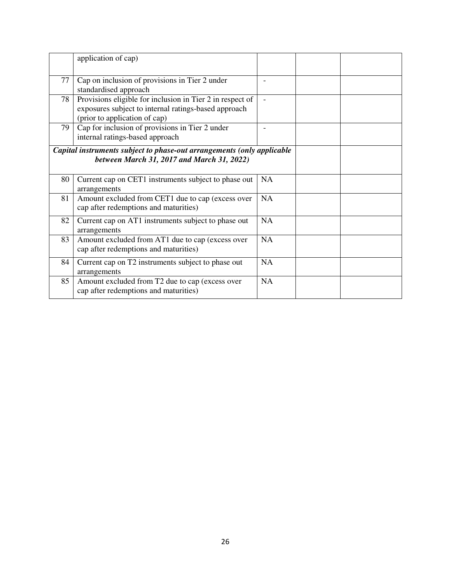|    | application of cap)                                                                                                                                |           |
|----|----------------------------------------------------------------------------------------------------------------------------------------------------|-----------|
| 77 | Cap on inclusion of provisions in Tier 2 under<br>standardised approach                                                                            |           |
| 78 | Provisions eligible for inclusion in Tier 2 in respect of<br>exposures subject to internal ratings-based approach<br>(prior to application of cap) |           |
| 79 | Cap for inclusion of provisions in Tier 2 under<br>internal ratings-based approach                                                                 |           |
|    | Capital instruments subject to phase-out arrangements (only applicable<br>between March 31, 2017 and March 31, 2022)                               |           |
| 80 | Current cap on CET1 instruments subject to phase out<br>arrangements                                                                               | <b>NA</b> |
| 81 | Amount excluded from CET1 due to cap (excess over<br>cap after redemptions and maturities)                                                         | <b>NA</b> |
| 82 | Current cap on AT1 instruments subject to phase out<br>arrangements                                                                                | <b>NA</b> |
| 83 | Amount excluded from AT1 due to cap (excess over<br>cap after redemptions and maturities)                                                          | <b>NA</b> |
| 84 | Current cap on T2 instruments subject to phase out<br>arrangements                                                                                 | NA        |
| 85 | Amount excluded from T2 due to cap (excess over<br>cap after redemptions and maturities)                                                           | NA        |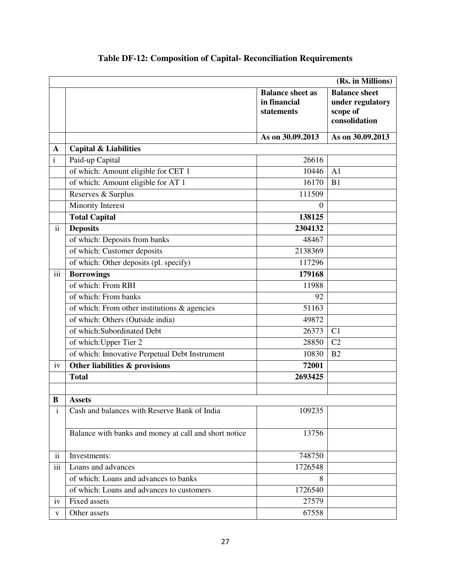|                          |                                                       |                                                       | (Rs. in Millions)                                                     |
|--------------------------|-------------------------------------------------------|-------------------------------------------------------|-----------------------------------------------------------------------|
|                          |                                                       | <b>Balance sheet as</b><br>in financial<br>statements | <b>Balance</b> sheet<br>under regulatory<br>scope of<br>consolidation |
|                          |                                                       | As on 30.09.2013                                      | As on 30.09.2013                                                      |
| A                        | <b>Capital &amp; Liabilities</b>                      |                                                       |                                                                       |
| $\mathbf{i}$             | Paid-up Capital                                       | 26616                                                 |                                                                       |
|                          | of which: Amount eligible for CET 1                   | 10446                                                 | A <sub>1</sub>                                                        |
|                          | of which: Amount eligible for AT 1                    | 16170                                                 | B1                                                                    |
|                          | Reserves & Surplus                                    | 111509                                                |                                                                       |
|                          | Minority Interest                                     | $\Omega$                                              |                                                                       |
|                          | <b>Total Capital</b>                                  | 138125                                                |                                                                       |
| $\overline{ii}$          | <b>Deposits</b>                                       | 2304132                                               |                                                                       |
|                          | of which: Deposits from banks                         | 48467                                                 |                                                                       |
|                          | of which: Customer deposits                           | 2138369                                               |                                                                       |
|                          | of which: Other deposits (pl. specify)                | 117296                                                |                                                                       |
| $\overline{iii}$         | <b>Borrowings</b>                                     | 179168                                                |                                                                       |
|                          | of which: From RBI                                    | 11988                                                 |                                                                       |
|                          | of which: From banks                                  | 92                                                    |                                                                       |
|                          | of which: From other institutions $\&$ agencies       | 51163                                                 |                                                                       |
|                          | of which: Others (Outside india)                      | 49872                                                 |                                                                       |
|                          | of which: Subordinated Debt                           | 26373                                                 | C <sub>1</sub>                                                        |
|                          | of which: Upper Tier 2                                | 28850                                                 | C2                                                                    |
|                          | of which: Innovative Perpetual Debt Instrument        | 10830                                                 | B <sub>2</sub>                                                        |
| iv                       | Other liabilities & provisions                        | 72001                                                 |                                                                       |
|                          | <b>Total</b>                                          | 2693425                                               |                                                                       |
|                          |                                                       |                                                       |                                                                       |
| B                        | <b>Assets</b>                                         |                                                       |                                                                       |
| $\mathbf{i}$             | Cash and balances with Reserve Bank of India          | 109235                                                |                                                                       |
|                          | Balance with banks and money at call and short notice | 13756                                                 |                                                                       |
| $\overline{\textbf{ii}}$ | Investments:                                          | 748750                                                |                                                                       |
| $\overline{iii}$         | Loans and advances                                    | 1726548                                               |                                                                       |
|                          | of which: Loans and advances to banks                 | 8                                                     |                                                                       |
|                          | of which: Loans and advances to customers             | 1726540                                               |                                                                       |
| iv                       | Fixed assets                                          | 27579                                                 |                                                                       |
| V                        | Other assets                                          | 67558                                                 |                                                                       |

# **Table DF-12: Composition of Capital- Reconciliation Requirements**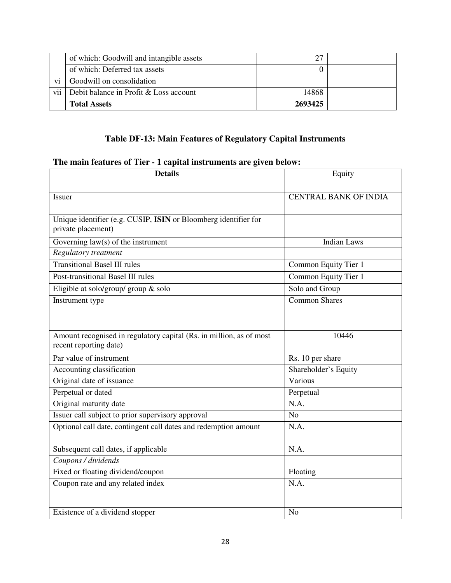|     | of which: Goodwill and intangible assets | 27      |  |
|-----|------------------------------------------|---------|--|
|     | of which: Deferred tax assets            |         |  |
| vi  | Goodwill on consolidation                |         |  |
| vii | Debit balance in Profit & Loss account   | 14868   |  |
|     | <b>Total Assets</b>                      | 2693425 |  |

## **Table DF-13: Main Features of Regulatory Capital Instruments**

# **The main features of Tier - 1 capital instruments are given below:**

| <b>Details</b>                                                                                | Equity                       |
|-----------------------------------------------------------------------------------------------|------------------------------|
| Issuer                                                                                        | <b>CENTRAL BANK OF INDIA</b> |
| Unique identifier (e.g. CUSIP, ISIN or Bloomberg identifier for<br>private placement)         |                              |
| Governing $law(s)$ of the instrument                                                          | <b>Indian Laws</b>           |
| Regulatory treatment                                                                          |                              |
| <b>Transitional Basel III rules</b>                                                           | Common Equity Tier 1         |
| Post-transitional Basel III rules                                                             | Common Equity Tier 1         |
| Eligible at solo/group/ group $&$ solo                                                        | Solo and Group               |
| Instrument type                                                                               | <b>Common Shares</b>         |
|                                                                                               |                              |
| Amount recognised in regulatory capital (Rs. in million, as of most<br>recent reporting date) | 10446                        |
| Par value of instrument                                                                       | Rs. 10 per share             |
| Accounting classification                                                                     | Shareholder's Equity         |
| Original date of issuance                                                                     | Various                      |
| Perpetual or dated                                                                            | Perpetual                    |
| Original maturity date                                                                        | N.A.                         |
| Issuer call subject to prior supervisory approval                                             | N <sub>o</sub>               |
| Optional call date, contingent call dates and redemption amount                               | N.A.                         |
| Subsequent call dates, if applicable                                                          | N.A.                         |
| Coupons / dividends                                                                           |                              |
| Fixed or floating dividend/coupon                                                             | Floating                     |
| Coupon rate and any related index                                                             | N.A.                         |
| Existence of a dividend stopper                                                               | N <sub>o</sub>               |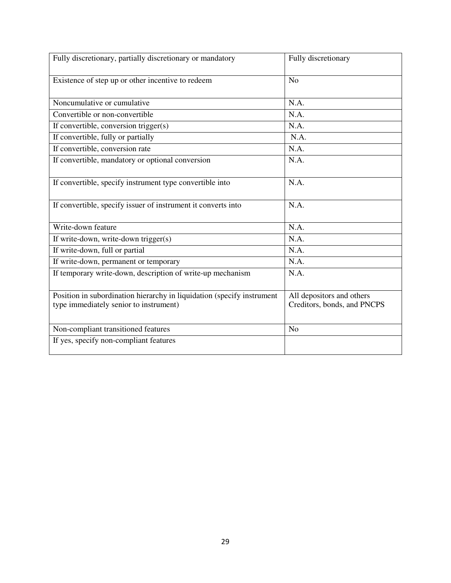| Fully discretionary, partially discretionary or mandatory                                                        | Fully discretionary                                      |
|------------------------------------------------------------------------------------------------------------------|----------------------------------------------------------|
| Existence of step up or other incentive to redeem                                                                | N <sub>o</sub>                                           |
| Noncumulative or cumulative                                                                                      | N.A.                                                     |
| Convertible or non-convertible                                                                                   | N.A.                                                     |
| If convertible, conversion trigger(s)                                                                            | N.A.                                                     |
| If convertible, fully or partially                                                                               | N.A.                                                     |
| If convertible, conversion rate                                                                                  | N.A.                                                     |
| If convertible, mandatory or optional conversion                                                                 | N.A.                                                     |
| If convertible, specify instrument type convertible into                                                         | N.A.                                                     |
| If convertible, specify issuer of instrument it converts into                                                    | N.A.                                                     |
| Write-down feature                                                                                               | N.A.                                                     |
| If write-down, write-down trigger(s)                                                                             | N.A.                                                     |
| If write-down, full or partial                                                                                   | N.A.                                                     |
| If write-down, permanent or temporary                                                                            | N.A.                                                     |
| If temporary write-down, description of write-up mechanism                                                       | N.A.                                                     |
| Position in subordination hierarchy in liquidation (specify instrument<br>type immediately senior to instrument) | All depositors and others<br>Creditors, bonds, and PNCPS |
| Non-compliant transitioned features                                                                              | N <sub>o</sub>                                           |
| If yes, specify non-compliant features                                                                           |                                                          |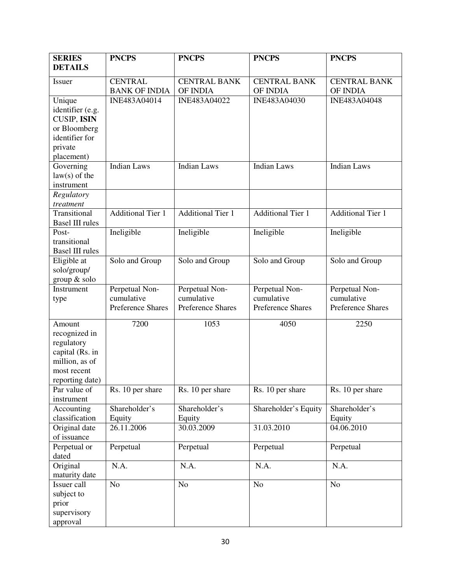| <b>SERIES</b>            | <b>PNCPS</b>             | <b>PNCPS</b>             | <b>PNCPS</b>             | <b>PNCPS</b>             |
|--------------------------|--------------------------|--------------------------|--------------------------|--------------------------|
| <b>DETAILS</b>           |                          |                          |                          |                          |
| Issuer                   | <b>CENTRAL</b>           | <b>CENTRAL BANK</b>      | <b>CENTRAL BANK</b>      | <b>CENTRAL BANK</b>      |
|                          | <b>BANK OF INDIA</b>     | OF INDIA                 | OF INDIA                 | OF INDIA                 |
| Unique                   | INE483A04014             | INE483A04022             | INE483A04030             | INE483A04048             |
| identifier (e.g.         |                          |                          |                          |                          |
| <b>CUSIP, ISIN</b>       |                          |                          |                          |                          |
| or Bloomberg             |                          |                          |                          |                          |
| identifier for           |                          |                          |                          |                          |
| private<br>placement)    |                          |                          |                          |                          |
| Governing                | <b>Indian Laws</b>       | <b>Indian Laws</b>       | <b>Indian Laws</b>       | <b>Indian Laws</b>       |
| $law(s)$ of the          |                          |                          |                          |                          |
| instrument               |                          |                          |                          |                          |
| Regulatory               |                          |                          |                          |                          |
| treatment                |                          |                          |                          |                          |
| Transitional             | <b>Additional Tier 1</b> | <b>Additional Tier 1</b> | <b>Additional Tier 1</b> | <b>Additional Tier 1</b> |
| <b>Basel III rules</b>   |                          |                          |                          |                          |
| Post-                    | Ineligible               | Ineligible               | Ineligible               | Ineligible               |
| transitional             |                          |                          |                          |                          |
| <b>Basel III rules</b>   |                          |                          |                          |                          |
| Eligible at              | Solo and Group           | Solo and Group           | Solo and Group           | Solo and Group           |
| solo/group/              |                          |                          |                          |                          |
| group & solo             |                          |                          |                          |                          |
| Instrument               | Perpetual Non-           | Perpetual Non-           | Perpetual Non-           | Perpetual Non-           |
| type                     | cumulative               | cumulative               | cumulative               | cumulative               |
|                          | <b>Preference Shares</b> | <b>Preference Shares</b> | Preference Shares        | Preference Shares        |
| Amount                   | 7200                     | 1053                     | 4050                     | 2250                     |
| recognized in            |                          |                          |                          |                          |
| regulatory               |                          |                          |                          |                          |
| capital (Rs. in          |                          |                          |                          |                          |
| million, as of           |                          |                          |                          |                          |
| most recent              |                          |                          |                          |                          |
| reporting date)          |                          |                          |                          |                          |
| Par value of             | Rs. 10 per share         | Rs. 10 per share         | Rs. 10 per share         | Rs. 10 per share         |
| instrument<br>Accounting | Shareholder's            | Shareholder's            | Shareholder's Equity     | Shareholder's            |
| classification           | Equity                   | Equity                   |                          | Equity                   |
| Original date            | 26.11.2006               | 30.03.2009               | 31.03.2010               | 04.06.2010               |
| of issuance              |                          |                          |                          |                          |
| Perpetual or             | Perpetual                | Perpetual                | Perpetual                | Perpetual                |
| dated                    |                          |                          |                          |                          |
| Original                 | N.A.                     | N.A.                     | N.A.                     | N.A.                     |
| maturity date            |                          |                          |                          |                          |
| Issuer call              | N <sub>o</sub>           | N <sub>o</sub>           | N <sub>o</sub>           | N <sub>o</sub>           |
| subject to               |                          |                          |                          |                          |
| prior                    |                          |                          |                          |                          |
| supervisory              |                          |                          |                          |                          |
| approval                 |                          |                          |                          |                          |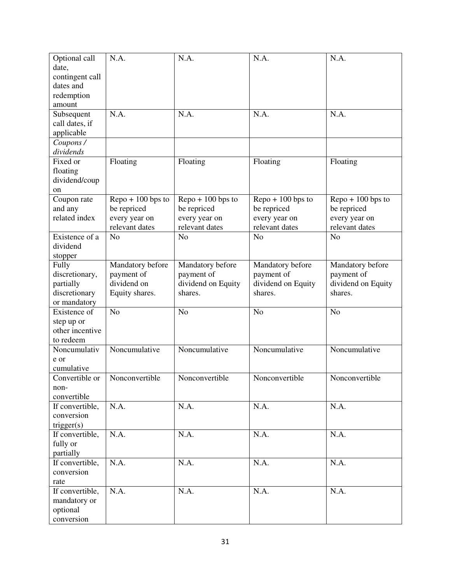| Optional call   | N.A.                               | N.A.                               | N.A.                               | N.A.                               |
|-----------------|------------------------------------|------------------------------------|------------------------------------|------------------------------------|
| date,           |                                    |                                    |                                    |                                    |
| contingent call |                                    |                                    |                                    |                                    |
| dates and       |                                    |                                    |                                    |                                    |
| redemption      |                                    |                                    |                                    |                                    |
| amount          |                                    |                                    |                                    |                                    |
| Subsequent      | N.A.                               | N.A.                               | N.A.                               | N.A.                               |
| call dates, if  |                                    |                                    |                                    |                                    |
| applicable      |                                    |                                    |                                    |                                    |
| Coupons /       |                                    |                                    |                                    |                                    |
| dividends       |                                    |                                    |                                    |                                    |
| Fixed or        | Floating                           | Floating                           | Floating                           | Floating                           |
| floating        |                                    |                                    |                                    |                                    |
| dividend/coup   |                                    |                                    |                                    |                                    |
| on              |                                    |                                    |                                    |                                    |
| Coupon rate     | $\text{Repo} + 100 \text{ bps}$ to | $\text{Repo} + 100 \text{ bps}$ to | $\text{Repo} + 100 \text{ bps}$ to | $\text{Repo} + 100 \text{ bps}$ to |
| and any         | be repriced                        | be repriced                        | be repriced                        | be repriced                        |
| related index   | every year on                      | every year on                      | every year on                      | every year on                      |
|                 | relevant dates                     | relevant dates                     | relevant dates                     | relevant dates                     |
| Existence of a  | N <sub>o</sub>                     | N <sub>o</sub>                     | N <sub>o</sub>                     | N <sub>o</sub>                     |
| dividend        |                                    |                                    |                                    |                                    |
| stopper         |                                    |                                    |                                    |                                    |
| Fully           | Mandatory before                   | Mandatory before                   | Mandatory before                   | Mandatory before                   |
|                 |                                    |                                    | payment of                         |                                    |
| discretionary,  | payment of<br>dividend on          | payment of                         |                                    | payment of                         |
| partially       |                                    | dividend on Equity                 | dividend on Equity                 | dividend on Equity                 |
| discretionary   | Equity shares.                     | shares.                            | shares.                            | shares.                            |
| or mandatory    |                                    |                                    |                                    |                                    |
| Existence of    | N <sub>o</sub>                     | No                                 | N <sub>o</sub>                     | N <sub>o</sub>                     |
| step up or      |                                    |                                    |                                    |                                    |
| other incentive |                                    |                                    |                                    |                                    |
| to redeem       |                                    |                                    |                                    |                                    |
| Noncumulativ    | Noncumulative                      | Noncumulative                      | Noncumulative                      | Noncumulative                      |
| e or            |                                    |                                    |                                    |                                    |
| cumulative      |                                    |                                    |                                    |                                    |
| Convertible or  | Nonconvertible                     | Nonconvertible                     | Nonconvertible                     | Nonconvertible                     |
| non-            |                                    |                                    |                                    |                                    |
| convertible     |                                    |                                    |                                    |                                    |
| If convertible, | N.A.                               | N.A.                               | N.A.                               | N.A.                               |
| conversion      |                                    |                                    |                                    |                                    |
| trigger(s)      |                                    |                                    |                                    |                                    |
| If convertible, | N.A.                               | N.A.                               | N.A.                               | N.A.                               |
| fully or        |                                    |                                    |                                    |                                    |
| partially       |                                    |                                    |                                    |                                    |
| If convertible, | N.A.                               | N.A.                               | N.A.                               | N.A.                               |
| conversion      |                                    |                                    |                                    |                                    |
| rate            |                                    |                                    |                                    |                                    |
| If convertible, | N.A.                               | N.A.                               | N.A.                               | N.A.                               |
| mandatory or    |                                    |                                    |                                    |                                    |
| optional        |                                    |                                    |                                    |                                    |
| conversion      |                                    |                                    |                                    |                                    |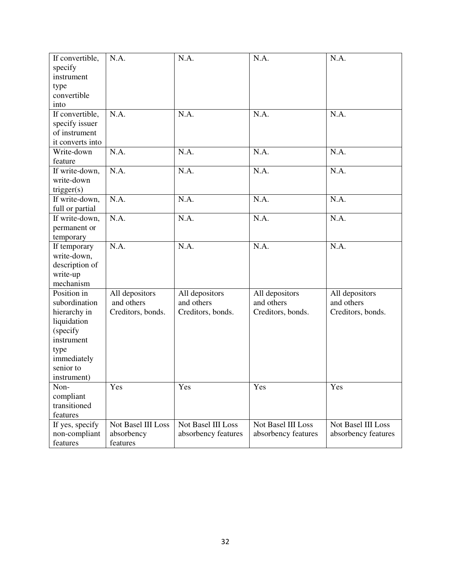| If convertible,<br>specify | N.A.               | N.A.                | N.A.                | N.A.                |
|----------------------------|--------------------|---------------------|---------------------|---------------------|
| instrument                 |                    |                     |                     |                     |
| type                       |                    |                     |                     |                     |
| convertible                |                    |                     |                     |                     |
| into                       |                    |                     |                     |                     |
| If convertible,            | N.A.               | N.A.                | N.A.                | N.A.                |
| specify issuer             |                    |                     |                     |                     |
| of instrument              |                    |                     |                     |                     |
| it converts into           |                    |                     |                     |                     |
| Write-down                 | N.A.               | N.A.                | N.A.                | N.A.                |
| feature                    |                    |                     |                     |                     |
| If write-down,             | N.A.               | N.A.                | N.A.                | N.A.                |
| write-down                 |                    |                     |                     |                     |
| trigger(s)                 |                    |                     |                     |                     |
| If write-down,             | N.A.               | N.A.                | N.A.                | N.A.                |
| full or partial            |                    |                     |                     |                     |
| If write-down,             | N.A.               | N.A.                | N.A.                | N.A.                |
| permanent or               |                    |                     |                     |                     |
| temporary                  |                    |                     |                     |                     |
| If temporary               | N.A.               | N.A.                | N.A.                | N.A.                |
| write-down,                |                    |                     |                     |                     |
| description of             |                    |                     |                     |                     |
| write-up                   |                    |                     |                     |                     |
| mechanism                  |                    |                     |                     |                     |
| Position in                | All depositors     | All depositors      | All depositors      | All depositors      |
| subordination              | and others         | and others          | and others          | and others          |
| hierarchy in               | Creditors, bonds.  | Creditors, bonds.   | Creditors, bonds.   | Creditors, bonds.   |
| liquidation                |                    |                     |                     |                     |
| (specify                   |                    |                     |                     |                     |
| instrument                 |                    |                     |                     |                     |
| type                       |                    |                     |                     |                     |
| immediately<br>senior to   |                    |                     |                     |                     |
|                            |                    |                     |                     |                     |
| instrument)<br>Non-        | Yes                | Yes                 | Yes                 | Yes                 |
| compliant                  |                    |                     |                     |                     |
| transitioned               |                    |                     |                     |                     |
| features                   |                    |                     |                     |                     |
| If yes, specify            | Not Basel III Loss | Not Basel III Loss  | Not Basel III Loss  | Not Basel III Loss  |
| non-compliant              | absorbency         | absorbency features | absorbency features | absorbency features |
| features                   | features           |                     |                     |                     |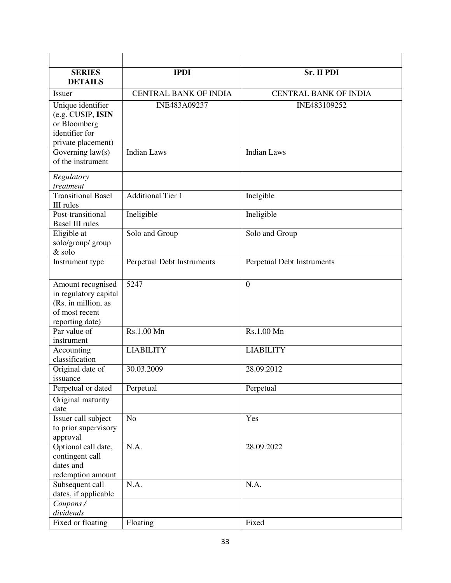| <b>SERIES</b><br><b>DETAILS</b>                                                                        | <b>IPDI</b>                       | Sr. II PDI                   |
|--------------------------------------------------------------------------------------------------------|-----------------------------------|------------------------------|
| Issuer                                                                                                 | <b>CENTRAL BANK OF INDIA</b>      | <b>CENTRAL BANK OF INDIA</b> |
| Unique identifier<br>(e.g. CUSIP, ISIN<br>or Bloomberg<br>identifier for<br>private placement)         | INE483A09237                      | INE483109252                 |
| Governing law(s)<br>of the instrument                                                                  | <b>Indian Laws</b>                | <b>Indian Laws</b>           |
| Regulatory<br>treatment                                                                                |                                   |                              |
| <b>Transitional Basel</b><br>III rules                                                                 | <b>Additional Tier 1</b>          | Inelgible                    |
| Post-transitional<br><b>Basel III rules</b>                                                            | Ineligible                        | Ineligible                   |
| Eligible at<br>solo/group/ group<br>& solo                                                             | Solo and Group                    | Solo and Group               |
| Instrument type                                                                                        | <b>Perpetual Debt Instruments</b> | Perpetual Debt Instruments   |
| Amount recognised<br>in regulatory capital<br>(Rs. in million, as<br>of most recent<br>reporting date) | 5247                              | $\boldsymbol{0}$             |
| Par value of<br>instrument                                                                             | Rs.1.00 Mn                        | Rs.1.00 Mn                   |
| Accounting<br>classification                                                                           | <b>LIABILITY</b>                  | <b>LIABILITY</b>             |
| Original date of<br>issuance                                                                           | 30.03.2009                        | 28.09.2012                   |
| Perpetual or dated                                                                                     | Perpetual                         | Perpetual                    |
| Original maturity<br>date                                                                              |                                   |                              |
| Issuer call subject<br>to prior supervisory<br>approval                                                | No                                | Yes                          |
| Optional call date,<br>contingent call<br>dates and<br>redemption amount                               | N.A.                              | 28.09.2022                   |
| Subsequent call<br>dates, if applicable                                                                | N.A.                              | N.A.                         |
| Coupons /<br>dividends                                                                                 |                                   |                              |
| Fixed or floating                                                                                      | Floating                          | Fixed                        |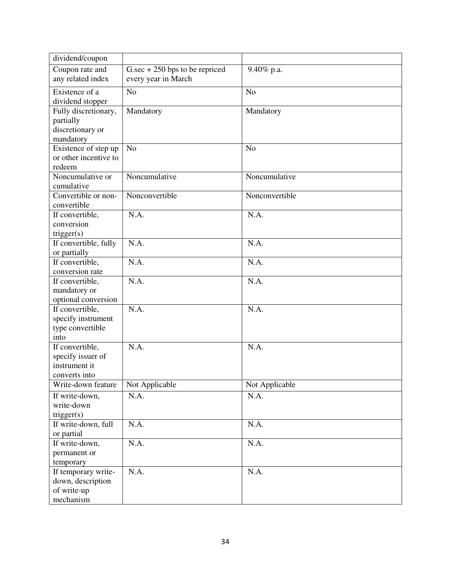| dividend/coupon                    |                                   |                |
|------------------------------------|-----------------------------------|----------------|
| Coupon rate and                    | $G.\sec + 250$ bps to be repriced | 9.40% p.a.     |
| any related index                  | every year in March               |                |
| Existence of a                     | N <sub>o</sub>                    | N <sub>o</sub> |
| dividend stopper                   |                                   |                |
| Fully discretionary,               | Mandatory                         | Mandatory      |
| partially<br>discretionary or      |                                   |                |
| mandatory                          |                                   |                |
| Existence of step up               | N <sub>o</sub>                    | N <sub>o</sub> |
| or other incentive to              |                                   |                |
| redeem                             |                                   |                |
| Noncumulative or                   | Noncumulative                     | Noncumulative  |
| cumulative                         |                                   |                |
| Convertible or non-                | Nonconvertible                    | Nonconvertible |
| convertible                        |                                   |                |
| If convertible,                    | N.A.                              | N.A.           |
| conversion                         |                                   |                |
| trigger(s)                         |                                   |                |
| If convertible, fully              | N.A.                              | N.A.           |
| or partially                       |                                   |                |
| If convertible,<br>conversion rate | N.A.                              | N.A.           |
| If convertible,                    | N.A.                              | N.A.           |
| mandatory or                       |                                   |                |
| optional conversion                |                                   |                |
| If convertible,                    | N.A.                              | N.A.           |
| specify instrument                 |                                   |                |
| type convertible                   |                                   |                |
| into                               |                                   |                |
| If convertible,                    | N.A.                              | N.A.           |
| specify issuer of                  |                                   |                |
| instrument it                      |                                   |                |
| converts into                      |                                   |                |
| Write-down feature                 | Not Applicable                    | Not Applicable |
| If write-down,                     | N.A.                              | N.A.           |
| write-down                         |                                   |                |
| trigger(s)<br>If write-down, full  | N.A.                              | N.A.           |
| or partial                         |                                   |                |
| If write-down,                     | N.A.                              | N.A.           |
| permanent or                       |                                   |                |
| temporary                          |                                   |                |
| If temporary write-                | N.A.                              | N.A.           |
| down, description                  |                                   |                |
| of write-up                        |                                   |                |
| mechanism                          |                                   |                |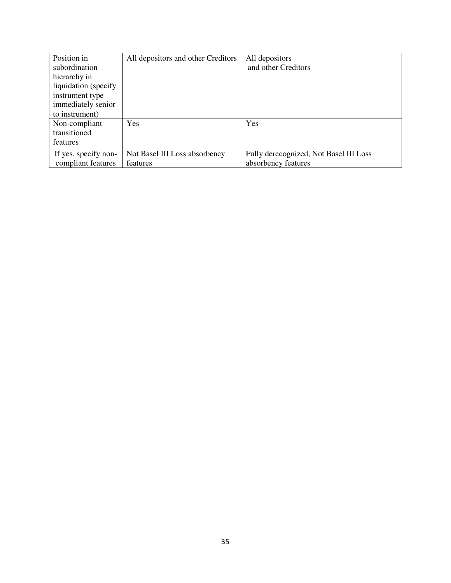| Position in           | All depositors and other Creditors | All depositors                         |
|-----------------------|------------------------------------|----------------------------------------|
| subordination         |                                    | and other Creditors                    |
| hierarchy in          |                                    |                                        |
| liquidation (specify) |                                    |                                        |
| instrument type       |                                    |                                        |
| immediately senior    |                                    |                                        |
| to instrument)        |                                    |                                        |
| Non-compliant         | Yes                                | Yes                                    |
| transitioned          |                                    |                                        |
| features              |                                    |                                        |
| If yes, specify non-  | Not Basel III Loss absorbency      | Fully derecognized, Not Basel III Loss |
| compliant features    | features                           | absorbency features                    |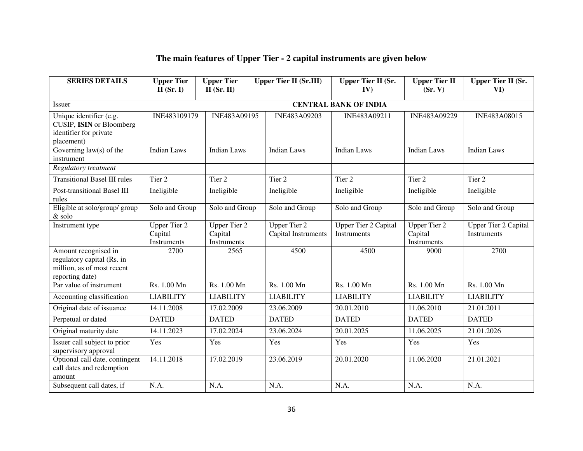#### **The main features of Upper Tier - 2 capital instruments are given below**

| <b>SERIES DETAILS</b>                                                                               | <b>Upper Tier</b><br>$II$ (Sr. I)                    | <b>Upper Tier</b><br>$II$ (Sr. II)            | <b>Upper Tier II (Sr.III)</b>              | <b>Upper Tier II (Sr.</b><br>IV)                  | <b>Upper Tier II</b><br>(Sr, V)               | <b>Upper Tier II (Sr.</b><br>VI)                  |
|-----------------------------------------------------------------------------------------------------|------------------------------------------------------|-----------------------------------------------|--------------------------------------------|---------------------------------------------------|-----------------------------------------------|---------------------------------------------------|
| <b>Issuer</b>                                                                                       |                                                      |                                               |                                            | <b>CENTRAL BANK OF INDIA</b>                      |                                               |                                                   |
| Unique identifier (e.g.<br>CUSIP, ISIN or Bloomberg<br>identifier for private<br>placement)         | INE483109179                                         | INE483A09195                                  | INE483A09203                               | INE483A09211                                      | INE483A09229                                  | INE483A08015                                      |
| Governing $law(s)$ of the<br>instrument                                                             | <b>Indian Laws</b>                                   | Indian Laws                                   | <b>Indian Laws</b>                         | <b>Indian Laws</b>                                | <b>Indian Laws</b>                            | <b>Indian Laws</b>                                |
| Regulatory treatment                                                                                |                                                      |                                               |                                            |                                                   |                                               |                                                   |
| <b>Transitional Basel III rules</b>                                                                 | Tier <sub>2</sub>                                    | Tier <sub>2</sub>                             | Tier <sub>2</sub>                          | Tier 2                                            | Tier 2                                        | Tier 2                                            |
| Post-transitional Basel III<br>rules                                                                | Ineligible                                           | Ineligible                                    | Ineligible                                 | Ineligible                                        | Ineligible                                    | Ineligible                                        |
| Eligible at solo/group/ group<br>& solo                                                             | Solo and Group                                       | Solo and Group                                | Solo and Group                             | Solo and Group                                    | Solo and Group                                | Solo and Group                                    |
| Instrument type                                                                                     | <b>Upper Tier 2</b><br>Capital<br><b>Instruments</b> | <b>Upper Tier 2</b><br>Capital<br>Instruments | <b>Upper Tier 2</b><br>Capital Instruments | <b>Upper Tier 2 Capital</b><br><b>Instruments</b> | <b>Upper Tier 2</b><br>Capital<br>Instruments | <b>Upper Tier 2 Capital</b><br><b>Instruments</b> |
| Amount recognised in<br>regulatory capital (Rs. in<br>million, as of most recent<br>reporting date) | 2700                                                 | 2565                                          | 4500                                       | 4500                                              | 9000                                          | 2700                                              |
| Par value of instrument                                                                             | Rs. 1.00 Mn                                          | Rs. 1.00 Mn                                   | Rs. 1.00 Mn                                | Rs. 1.00 Mn                                       | Rs. 1.00 Mn                                   | Rs. 1.00 Mn                                       |
| Accounting classification                                                                           | <b>LIABILITY</b>                                     | <b>LIABILITY</b>                              | <b>LIABILITY</b>                           | <b>LIABILITY</b>                                  | <b>LIABILITY</b>                              | <b>LIABILITY</b>                                  |
| Original date of issuance                                                                           | 14.11.2008                                           | 17.02.2009                                    | 23.06.2009                                 | 20.01.2010                                        | 11.06.2010                                    | 21.01.2011                                        |
| Perpetual or dated                                                                                  | <b>DATED</b>                                         | <b>DATED</b>                                  | <b>DATED</b>                               | <b>DATED</b>                                      | <b>DATED</b>                                  | <b>DATED</b>                                      |
| Original maturity date                                                                              | 14.11.2023                                           | 17.02.2024                                    | 23.06.2024                                 | 20.01.2025                                        | 11.06.2025                                    | 21.01.2026                                        |
| Issuer call subject to prior<br>supervisory approval                                                | Yes                                                  | Yes                                           | Yes                                        | Yes                                               | Yes                                           | Yes                                               |
| Optional call date, contingent<br>call dates and redemption<br>amount                               | 14.11.2018                                           | 17.02.2019                                    | 23.06.2019                                 | 20.01.2020                                        | 11.06.2020                                    | 21.01.2021                                        |
| Subsequent call dates, if                                                                           | N.A.                                                 | N.A.                                          | N.A.                                       | N.A.                                              | N.A.                                          | N.A.                                              |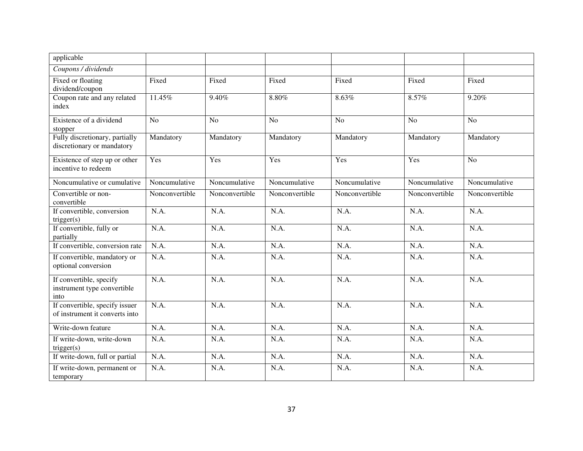| applicable                                                       |                |                |                |                |                |                |
|------------------------------------------------------------------|----------------|----------------|----------------|----------------|----------------|----------------|
| Coupons / dividends                                              |                |                |                |                |                |                |
| Fixed or floating<br>dividend/coupon                             | Fixed          | Fixed          | Fixed          | Fixed          | Fixed          | Fixed          |
| Coupon rate and any related<br>index                             | 11.45%         | 9.40%          | 8.80%          | 8.63%          | 8.57%          | 9.20%          |
| Existence of a dividend<br>stopper                               | N <sub>o</sub> | N <sub>o</sub> | N <sub>o</sub> | N <sub>o</sub> | N <sub>o</sub> | N <sub>o</sub> |
| Fully discretionary, partially<br>discretionary or mandatory     | Mandatory      | Mandatory      | Mandatory      | Mandatory      | Mandatory      | Mandatory      |
| Existence of step up or other<br>incentive to redeem             | Yes            | Yes            | Yes            | Yes            | Yes            | N <sub>o</sub> |
| Noncumulative or cumulative                                      | Noncumulative  | Noncumulative  | Noncumulative  | Noncumulative  | Noncumulative  | Noncumulative  |
| Convertible or non-<br>convertible                               | Nonconvertible | Nonconvertible | Nonconvertible | Nonconvertible | Nonconvertible | Nonconvertible |
| If convertible, conversion<br>trigger(s)                         | N.A.           | N.A.           | N.A.           | N.A.           | N.A.           | N.A.           |
| If convertible, fully or<br>partially                            | N.A.           | N.A.           | N.A.           | N.A.           | N.A.           | N.A.           |
| If convertible, conversion rate                                  | N.A.           | N.A.           | N.A.           | N.A.           | N.A.           | N.A.           |
| If convertible, mandatory or<br>optional conversion              | N.A.           | N.A.           | N.A.           | N.A.           | N.A.           | N.A.           |
| If convertible, specify<br>instrument type convertible<br>into   | N.A.           | N.A.           | N.A.           | N.A.           | N.A.           | N.A.           |
| If convertible, specify issuer<br>of instrument it converts into | N.A.           | N.A.           | N.A.           | N.A.           | N.A.           | N.A.           |
| Write-down feature                                               | N.A.           | N.A.           | N.A.           | N.A.           | N.A.           | N.A.           |
| If write-down, write-down<br>trigger(s)                          | N.A.           | N.A.           | N.A.           | N.A.           | N.A.           | N.A.           |
| If write-down, full or partial                                   | N.A.           | N.A.           | N.A.           | N.A.           | N.A.           | N.A.           |
| If write-down, permanent or<br>temporary                         | N.A.           | N.A.           | N.A.           | N.A.           | N.A.           | N.A.           |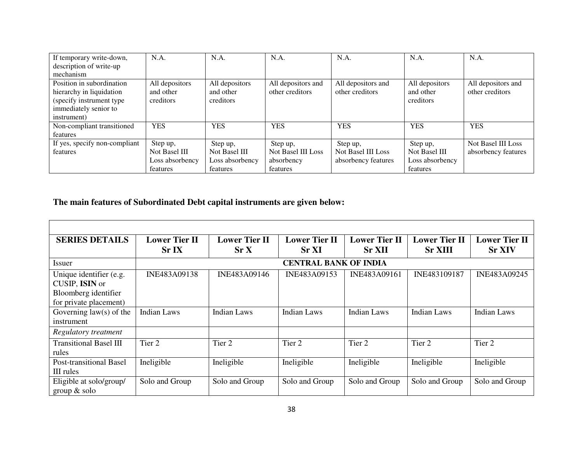| If temporary write-down,      | N.A.            | N.A.            | N.A.               | N.A.                | N.A.            | N.A.                |
|-------------------------------|-----------------|-----------------|--------------------|---------------------|-----------------|---------------------|
| description of write-up       |                 |                 |                    |                     |                 |                     |
| mechanism                     |                 |                 |                    |                     |                 |                     |
| Position in subordination     | All depositors  | All depositors  | All depositors and | All depositors and  | All depositors  | All depositors and  |
| hierarchy in liquidation      | and other       | and other       | other creditors    | other creditors     | and other       | other creditors     |
| (specify instrument type      | creditors       | creditors       |                    |                     | creditors       |                     |
| immediately senior to         |                 |                 |                    |                     |                 |                     |
| instrument)                   |                 |                 |                    |                     |                 |                     |
| Non-compliant transitioned    | <b>YES</b>      | <b>YES</b>      | <b>YES</b>         | <b>YES</b>          | <b>YES</b>      | <b>YES</b>          |
| features                      |                 |                 |                    |                     |                 |                     |
| If yes, specify non-compliant | Step up,        | Step up,        | Step up,           | Step up,            | Step up,        | Not Basel III Loss  |
| features                      | Not Basel III   | Not Basel III   | Not Basel III Loss | Not Basel III Loss  | Not Basel III   | absorbency features |
|                               | Loss absorbency | Loss absorbency | absorbency         | absorbency features | Loss absorbency |                     |
|                               | features        | features        | features           |                     | features        |                     |

#### **The main features of Subordinated Debt capital instruments are given below:**

| <b>SERIES DETAILS</b>          | <b>Lower Tier II</b> | <b>Lower Tier II</b> | <b>Lower Tier II</b>         | <b>Lower Tier II</b> | <b>Lower Tier II</b> | <b>Lower Tier II</b> |
|--------------------------------|----------------------|----------------------|------------------------------|----------------------|----------------------|----------------------|
|                                | Sr <sub>IX</sub>     | Sr X                 | <b>Sr XI</b>                 | <b>Sr XII</b>        | <b>Sr XIII</b>       | <b>Sr XIV</b>        |
| Issuer                         |                      |                      | <b>CENTRAL BANK OF INDIA</b> |                      |                      |                      |
| Unique identifier (e.g.        | INE483A09138         | INE483A09146         | INE483A09153                 | INE483A09161         | INE483109187         | INE483A09245         |
| CUSIP, ISIN or                 |                      |                      |                              |                      |                      |                      |
| Bloomberg identifier           |                      |                      |                              |                      |                      |                      |
| for private placement)         |                      |                      |                              |                      |                      |                      |
| Governing $law(s)$ of the      | Indian Laws          | Indian Laws          | <b>Indian Laws</b>           | Indian Laws          | Indian Laws          | Indian Laws          |
| instrument                     |                      |                      |                              |                      |                      |                      |
| Regulatory treatment           |                      |                      |                              |                      |                      |                      |
| <b>Transitional Basel III</b>  | Tier 2               | Tier <sub>2</sub>    | Tier 2                       | Tier 2               | Tier 2               | Tier 2               |
| rules                          |                      |                      |                              |                      |                      |                      |
| <b>Post-transitional Basel</b> | Ineligible           | Ineligible           | Ineligible                   | Ineligible           | Ineligible           | Ineligible           |
| III rules                      |                      |                      |                              |                      |                      |                      |
| Eligible at solo/group/        | Solo and Group       | Solo and Group       | Solo and Group               | Solo and Group       | Solo and Group       | Solo and Group       |
| group $&$ solo                 |                      |                      |                              |                      |                      |                      |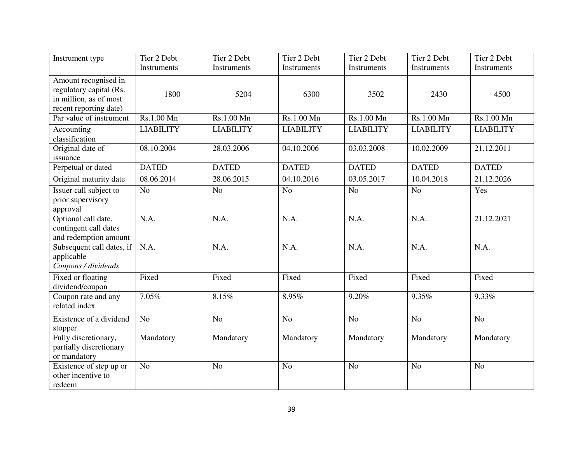| Instrument type                                                                                     | Tier 2 Debt      | Tier 2 Debt      | Tier 2 Debt        | Tier 2 Debt      | Tier 2 Debt      | Tier 2 Debt        |
|-----------------------------------------------------------------------------------------------------|------------------|------------------|--------------------|------------------|------------------|--------------------|
|                                                                                                     | Instruments      | Instruments      | <b>Instruments</b> | Instruments      | Instruments      | <b>Instruments</b> |
| Amount recognised in<br>regulatory capital (Rs.<br>in million, as of most<br>recent reporting date) | 1800             | 5204             | 6300               | 3502             | 2430             | 4500               |
| Par value of instrument                                                                             | Rs.1.00 Mn       | Rs.1.00 Mn       | Rs.1.00 Mn         | Rs.1.00 Mn       | Rs.1.00 Mn       | Rs.1.00 Mn         |
| Accounting<br>classification                                                                        | <b>LIABILITY</b> | <b>LIABILITY</b> | <b>LIABILITY</b>   | <b>LIABILITY</b> | <b>LIABILITY</b> | <b>LIABILITY</b>   |
| Original date of<br>issuance                                                                        | 08.10.2004       | 28.03.2006       | 04.10.2006         | 03.03.2008       | 10.02.2009       | 21.12.2011         |
| Perpetual or dated                                                                                  | <b>DATED</b>     | <b>DATED</b>     | <b>DATED</b>       | <b>DATED</b>     | <b>DATED</b>     | <b>DATED</b>       |
| Original maturity date                                                                              | 08.06.2014       | 28.06.2015       | 04.10.2016         | 03.05.2017       | 10.04.2018       | 21.12.2026         |
| Issuer call subject to<br>prior supervisory<br>approval                                             | N <sub>o</sub>   | N <sub>o</sub>   | N <sub>o</sub>     | N <sub>o</sub>   | N <sub>o</sub>   | Yes                |
| Optional call date,<br>contingent call dates<br>and redemption amount                               | N.A.             | N.A.             | N.A.               | N.A.             | N.A.             | 21.12.2021         |
| Subsequent call dates, if<br>applicable                                                             | N.A.             | N.A.             | N.A.               | N.A.             | N.A.             | N.A.               |
| Coupons / dividends                                                                                 |                  |                  |                    |                  |                  |                    |
| Fixed or floating<br>dividend/coupon                                                                | Fixed            | Fixed            | Fixed              | Fixed            | Fixed            | Fixed              |
| Coupon rate and any<br>related index                                                                | 7.05%            | 8.15%            | 8.95%              | 9.20%            | 9.35%            | 9.33%              |
| Existence of a dividend<br>stopper                                                                  | N <sub>o</sub>   | N <sub>o</sub>   | N <sub>o</sub>     | N <sub>o</sub>   | N <sub>o</sub>   | No                 |
| Fully discretionary,<br>partially discretionary<br>or mandatory                                     | Mandatory        | Mandatory        | Mandatory          | Mandatory        | Mandatory        | Mandatory          |
| Existence of step up or<br>other incentive to<br>redeem                                             | N <sub>o</sub>   | N <sub>o</sub>   | N <sub>o</sub>     | N <sub>o</sub>   | N <sub>o</sub>   | N <sub>o</sub>     |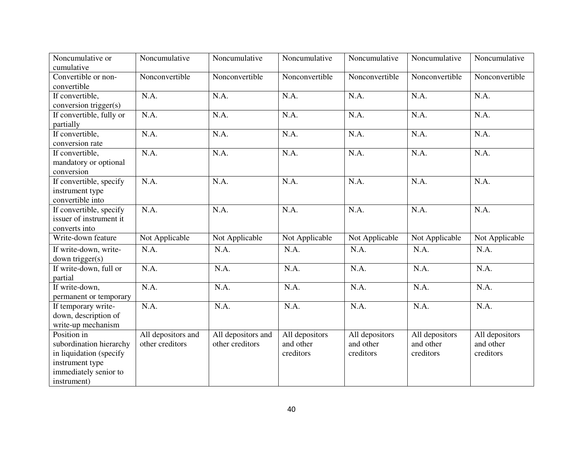| Noncumulative or         | Noncumulative      | Noncumulative      | Noncumulative  | Noncumulative  | Noncumulative  | Noncumulative  |
|--------------------------|--------------------|--------------------|----------------|----------------|----------------|----------------|
| cumulative               |                    |                    |                |                |                |                |
| Convertible or non-      | Nonconvertible     | Nonconvertible     | Nonconvertible | Nonconvertible | Nonconvertible | Nonconvertible |
| convertible              |                    |                    |                |                |                |                |
| If convertible,          | N.A.               | N.A.               | N.A.           | N.A.           | N.A.           | N.A.           |
| conversion trigger(s)    |                    |                    |                |                |                |                |
| If convertible, fully or | N.A.               | N.A.               | N.A.           | N.A.           | N.A.           | N.A.           |
| partially                |                    |                    |                |                |                |                |
| If convertible,          | N.A.               | N.A.               | N.A.           | N.A.           | N.A.           | N.A.           |
| conversion rate          |                    |                    |                |                |                |                |
| If convertible,          | N.A.               | N.A.               | N.A.           | N.A.           | N.A.           | N.A.           |
| mandatory or optional    |                    |                    |                |                |                |                |
| conversion               |                    |                    |                |                |                |                |
| If convertible, specify  | N.A.               | N.A.               | N.A.           | N.A.           | N.A.           | N.A.           |
| instrument type          |                    |                    |                |                |                |                |
| convertible into         |                    |                    |                |                |                |                |
| If convertible, specify  | N.A.               | N.A.               | N.A.           | N.A.           | N.A.           | N.A.           |
| issuer of instrument it  |                    |                    |                |                |                |                |
| converts into            |                    |                    |                |                |                |                |
| Write-down feature       | Not Applicable     | Not Applicable     | Not Applicable | Not Applicable | Not Applicable | Not Applicable |
| If write-down, write-    | N.A.               | N.A.               | N.A.           | N.A.           | N.A.           | N.A.           |
| down trigger(s)          |                    |                    |                |                |                |                |
| If write-down, full or   | N.A.               | N.A.               | N.A.           | N.A.           | N.A.           | N.A.           |
| partial                  |                    |                    |                |                |                |                |
| If write-down,           | N.A.               | N.A.               | N.A.           | N.A.           | N.A.           | N.A.           |
| permanent or temporary   |                    |                    |                |                |                |                |
| If temporary write-      | N.A.               | N.A.               | N.A.           | N.A.           | N.A.           | N.A.           |
| down, description of     |                    |                    |                |                |                |                |
| write-up mechanism       |                    |                    |                |                |                |                |
| Position in              | All depositors and | All depositors and | All depositors | All depositors | All depositors | All depositors |
| subordination hierarchy  | other creditors    | other creditors    | and other      | and other      | and other      | and other      |
| in liquidation (specify  |                    |                    | creditors      | creditors      | creditors      | creditors      |
| instrument type          |                    |                    |                |                |                |                |
| immediately senior to    |                    |                    |                |                |                |                |
| instrument)              |                    |                    |                |                |                |                |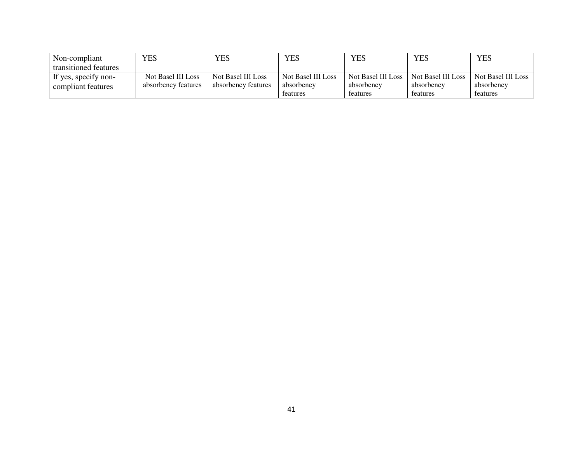| Non-compliant         | YES                 | <b>YES</b>          | YES                | YES                | <b>YES</b>         | <b>YES</b>         |
|-----------------------|---------------------|---------------------|--------------------|--------------------|--------------------|--------------------|
| transitioned features |                     |                     |                    |                    |                    |                    |
| If yes, specify non-  | Not Basel III Loss  | Not Basel III Loss  | Not Basel III Loss | Not Basel III Loss | Not Basel III Loss | Not Basel III Loss |
| compliant features    | absorbency features | absorbency reatures | absorbency         | absorbency         | absorbency         | absorbency         |
|                       |                     |                     | teatures           | teatures           | features           | features           |